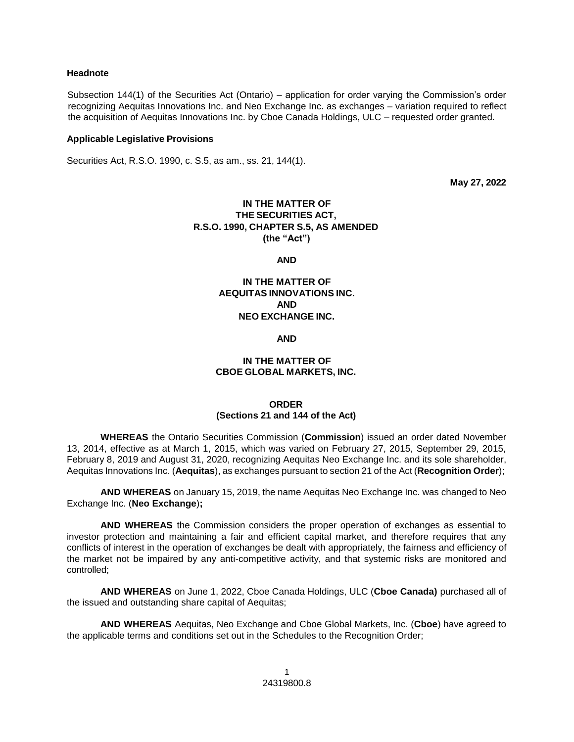#### **Headnote**

Subsection 144(1) of the Securities Act (Ontario) – application for order varying the Commission's order recognizing Aequitas Innovations Inc. and Neo Exchange Inc. as exchanges – variation required to reflect the acquisition of Aequitas Innovations Inc. by Cboe Canada Holdings, ULC – requested order granted.

#### **Applicable Legislative Provisions**

Securities Act, R.S.O. 1990, c. S.5, as am., ss. 21, 144(1).

**May 27, 2022**

# **IN THE MATTER OF THE SECURITIES ACT, R.S.O. 1990, CHAPTER S.5, AS AMENDED (the "Act")**

**AND**

#### **IN THE MATTER OF AEQUITAS INNOVATIONS INC. AND NEO EXCHANGE INC.**

**AND**

## **IN THE MATTER OF CBOE GLOBAL MARKETS, INC.**

#### **ORDER (Sections 21 and 144 of the Act)**

**WHEREAS** the Ontario Securities Commission (**Commission**) issued an order dated November 13, 2014, effective as at March 1, 2015, which was varied on February 27, 2015, September 29, 2015, February 8, 2019 and August 31, 2020, recognizing Aequitas Neo Exchange Inc. and its sole shareholder, Aequitas Innovations Inc. (**Aequitas**), as exchanges pursuant to section 21 of the Act (**Recognition Order**);

**AND WHEREAS** on January 15, 2019, the name Aequitas Neo Exchange Inc. was changed to Neo Exchange Inc. (**Neo Exchange**)**;**

**AND WHEREAS** the Commission considers the proper operation of exchanges as essential to investor protection and maintaining a fair and efficient capital market, and therefore requires that any conflicts of interest in the operation of exchanges be dealt with appropriately, the fairness and efficiency of the market not be impaired by any anti-competitive activity, and that systemic risks are monitored and controlled;

**AND WHEREAS** on June 1, 2022, Cboe Canada Holdings, ULC (**Cboe Canada)** purchased all of the issued and outstanding share capital of Aequitas;

**AND WHEREAS** Aequitas, Neo Exchange and Cboe Global Markets, Inc. (**Cboe**) have agreed to the applicable terms and conditions set out in the Schedules to the Recognition Order;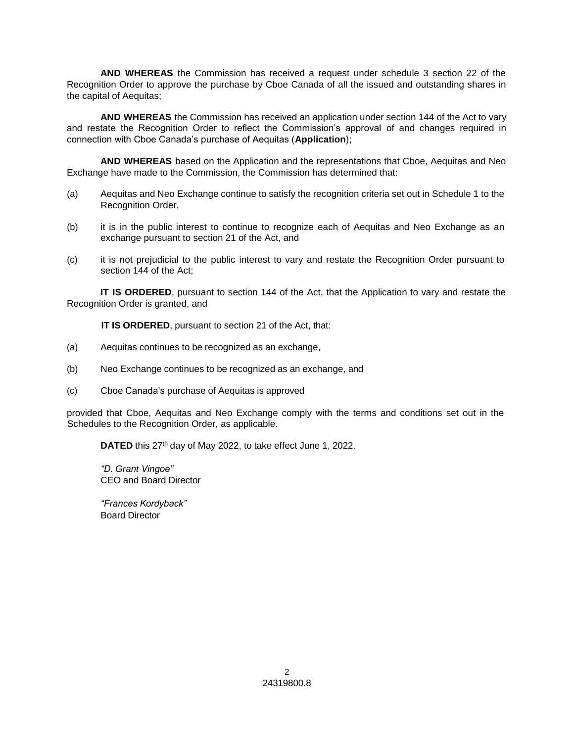**AND WHEREAS** the Commission has received a request under schedule 3 section 22 of the Recognition Order to approve the purchase by Cboe Canada of all the issued and outstanding shares in the capital of Aequitas;

**AND WHEREAS** the Commission has received an application under section 144 of the Act to vary and restate the Recognition Order to reflect the Commission's approval of and changes required in connection with Cboe Canada's purchase of Aequitas (**Application**);

**AND WHEREAS** based on the Application and the representations that Cboe, Aequitas and Neo Exchange have made to the Commission, the Commission has determined that:

- (a) Aequitas and Neo Exchange continue to satisfy the recognition criteria set out in Schedule 1 to the Recognition Order,
- (b) it is in the public interest to continue to recognize each of Aequitas and Neo Exchange as an exchange pursuant to section 21 of the Act, and
- (c) it is not prejudicial to the public interest to vary and restate the Recognition Order pursuant to section 144 of the Act;

**IT IS ORDERED**, pursuant to section 144 of the Act, that the Application to vary and restate the Recognition Order is granted, and

**IT IS ORDERED**, pursuant to section 21 of the Act, that:

- (a) Aequitas continues to be recognized as an exchange,
- (b) Neo Exchange continues to be recognized as an exchange, and
- (c) Cboe Canada's purchase of Aequitas is approved

provided that Cboe, Aequitas and Neo Exchange comply with the terms and conditions set out in the Schedules to the Recognition Order, as applicable.

**DATED** this 27<sup>th</sup> day of May 2022, to take effect June 1, 2022.

*"D. Grant Vingoe"* CEO and Board Director

*"Frances Kordyback"* Board Director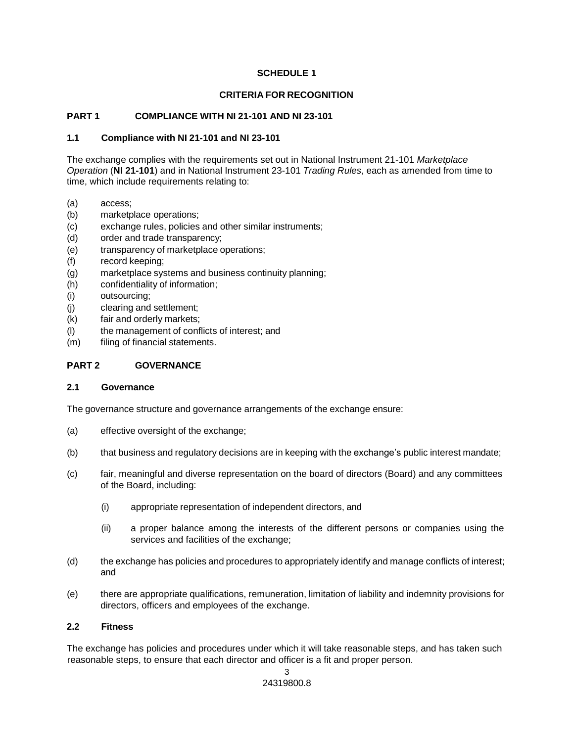## **SCHEDULE 1**

## **CRITERIA FOR RECOGNITION**

## **PART 1 COMPLIANCE WITH NI 21-101 AND NI 23-101**

#### **1.1 Compliance with NI 21-101 and NI 23-101**

The exchange complies with the requirements set out in National Instrument 21-101 *Marketplace Operation* (**NI 21-101**) and in National Instrument 23-101 *Trading Rules*, each as amended from time to time, which include requirements relating to:

- (a) access;
- (b) marketplace operations;
- (c) exchange rules, policies and other similar instruments;
- (d) order and trade transparency;
- (e) transparency of marketplace operations;
- (f) record keeping;
- (g) marketplace systems and business continuity planning;
- (h) confidentiality of information;
- (i) outsourcing;
- (j) clearing and settlement;
- (k) fair and orderly markets;
- (l) the management of conflicts of interest; and
- (m) filing of financial statements.

## **PART 2 GOVERNANCE**

#### **2.1 Governance**

The governance structure and governance arrangements of the exchange ensure:

- (a) effective oversight of the exchange;
- (b) that business and regulatory decisions are in keeping with the exchange's public interest mandate;
- (c) fair, meaningful and diverse representation on the board of directors (Board) and any committees of the Board, including:
	- (i) appropriate representation of independent directors, and
	- (ii) a proper balance among the interests of the different persons or companies using the services and facilities of the exchange;
- (d) the exchange has policies and procedures to appropriately identify and manage conflicts of interest; and
- (e) there are appropriate qualifications, remuneration, limitation of liability and indemnity provisions for directors, officers and employees of the exchange.

#### **2.2 Fitness**

The exchange has policies and procedures under which it will take reasonable steps, and has taken such reasonable steps, to ensure that each director and officer is a fit and proper person.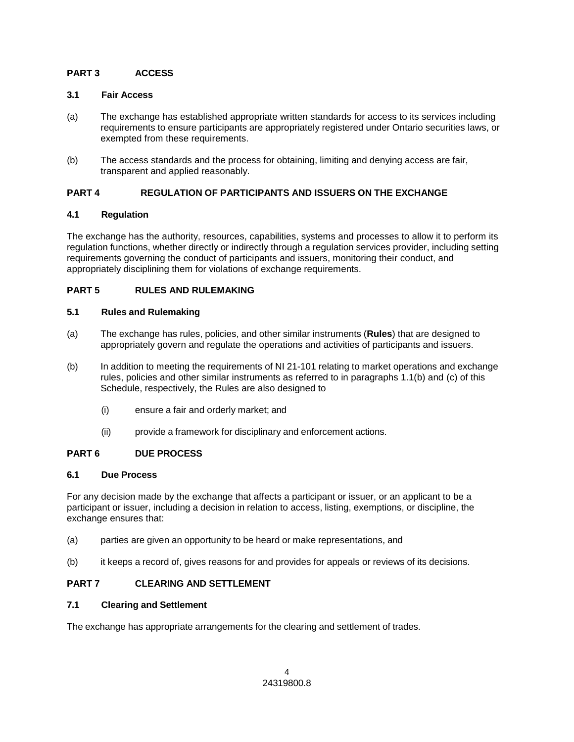## **PART 3 ACCESS**

## **3.1 Fair Access**

- (a) The exchange has established appropriate written standards for access to its services including requirements to ensure participants are appropriately registered under Ontario securities laws, or exempted from these requirements.
- (b) The access standards and the process for obtaining, limiting and denying access are fair, transparent and applied reasonably.

# **PART 4 REGULATION OF PARTICIPANTS AND ISSUERS ON THE EXCHANGE**

## **4.1 Regulation**

The exchange has the authority, resources, capabilities, systems and processes to allow it to perform its regulation functions, whether directly or indirectly through a regulation services provider, including setting requirements governing the conduct of participants and issuers, monitoring their conduct, and appropriately disciplining them for violations of exchange requirements.

# **PART 5 RULES AND RULEMAKING**

## **5.1 Rules and Rulemaking**

- (a) The exchange has rules, policies, and other similar instruments (**Rules**) that are designed to appropriately govern and regulate the operations and activities of participants and issuers.
- (b) In addition to meeting the requirements of NI 21-101 relating to market operations and exchange rules, policies and other similar instruments as referred to in paragraphs 1.1(b) and (c) of this Schedule, respectively, the Rules are also designed to
	- (i) ensure a fair and orderly market; and
	- (ii) provide a framework for disciplinary and enforcement actions.

# **PART 6 DUE PROCESS**

#### **6.1 Due Process**

For any decision made by the exchange that affects a participant or issuer, or an applicant to be a participant or issuer, including a decision in relation to access, listing, exemptions, or discipline, the exchange ensures that:

- (a) parties are given an opportunity to be heard or make representations, and
- (b) it keeps a record of, gives reasons for and provides for appeals or reviews of its decisions.

# **PART 7 CLEARING AND SETTLEMENT**

# **7.1 Clearing and Settlement**

The exchange has appropriate arrangements for the clearing and settlement of trades.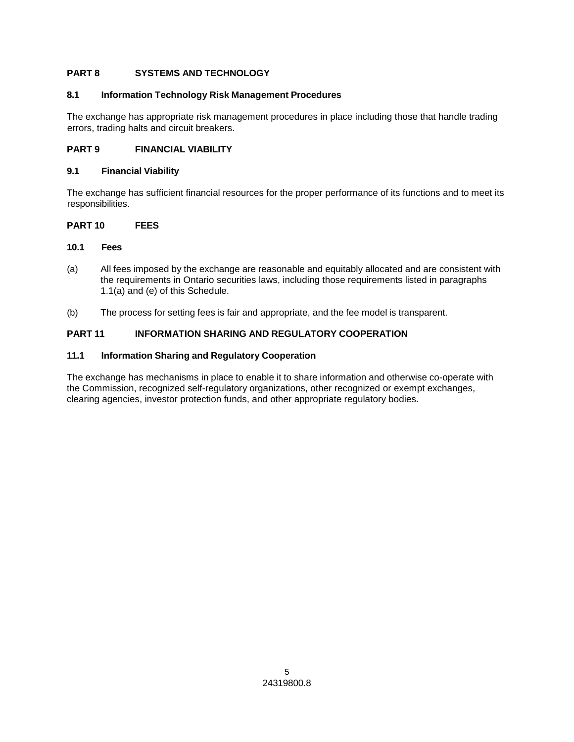# **PART 8 SYSTEMS AND TECHNOLOGY**

# **8.1 Information Technology Risk Management Procedures**

The exchange has appropriate risk management procedures in place including those that handle trading errors, trading halts and circuit breakers.

# **PART 9 FINANCIAL VIABILITY**

#### **9.1 Financial Viability**

The exchange has sufficient financial resources for the proper performance of its functions and to meet its responsibilities.

## **PART 10 FEES**

## **10.1 Fees**

- (a) All fees imposed by the exchange are reasonable and equitably allocated and are consistent with the requirements in Ontario securities laws, including those requirements listed in paragraphs 1.1(a) and (e) of this Schedule.
- (b) The process for setting fees is fair and appropriate, and the fee model is transparent.

# **PART 11 INFORMATION SHARING AND REGULATORY COOPERATION**

#### **11.1 Information Sharing and Regulatory Cooperation**

The exchange has mechanisms in place to enable it to share information and otherwise co-operate with the Commission, recognized self-regulatory organizations, other recognized or exempt exchanges, clearing agencies, investor protection funds, and other appropriate regulatory bodies.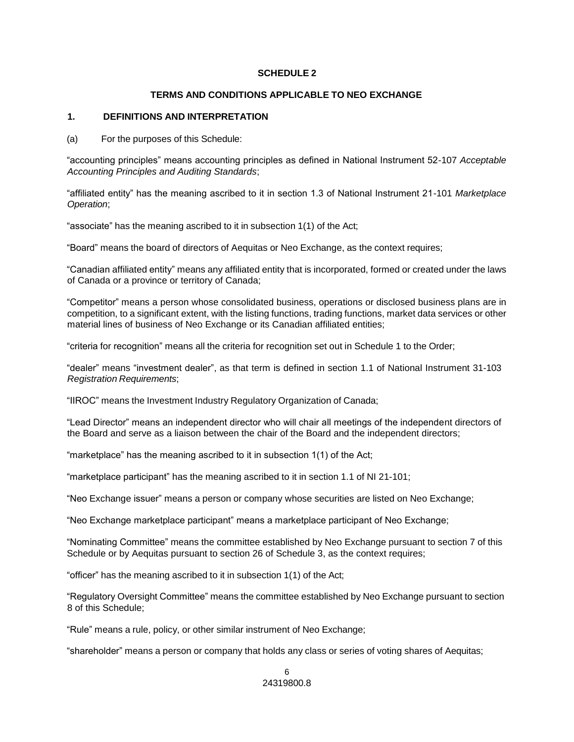#### **SCHEDULE 2**

#### **TERMS AND CONDITIONS APPLICABLE TO NEO EXCHANGE**

#### **1. DEFINITIONS AND INTERPRETATION**

(a) For the purposes of this Schedule:

"accounting principles" means accounting principles as defined in National Instrument 52-107 *Acceptable Accounting Principles and Auditing Standards*;

"affiliated entity" has the meaning ascribed to it in section 1.3 of National Instrument 21-101 *Marketplace Operation*;

"associate" has the meaning ascribed to it in subsection 1(1) of the Act;

"Board" means the board of directors of Aequitas or Neo Exchange, as the context requires;

"Canadian affiliated entity" means any affiliated entity that is incorporated, formed or created under the laws of Canada or a province or territory of Canada;

"Competitor" means a person whose consolidated business, operations or disclosed business plans are in competition, to a significant extent, with the listing functions, trading functions, market data services or other material lines of business of Neo Exchange or its Canadian affiliated entities;

"criteria for recognition" means all the criteria for recognition set out in Schedule 1 to the Order;

"dealer" means "investment dealer", as that term is defined in section 1.1 of National Instrument 31-103 *Registration Requirements*;

"IIROC" means the Investment Industry Regulatory Organization of Canada;

"Lead Director" means an independent director who will chair all meetings of the independent directors of the Board and serve as a liaison between the chair of the Board and the independent directors;

"marketplace" has the meaning ascribed to it in subsection 1(1) of the Act;

"marketplace participant" has the meaning ascribed to it in section 1.1 of NI 21-101;

"Neo Exchange issuer" means a person or company whose securities are listed on Neo Exchange;

"Neo Exchange marketplace participant" means a marketplace participant of Neo Exchange;

"Nominating Committee" means the committee established by Neo Exchange pursuant to section 7 of this Schedule or by Aequitas pursuant to section 26 of Schedule 3, as the context requires;

"officer" has the meaning ascribed to it in subsection 1(1) of the Act;

"Regulatory Oversight Committee" means the committee established by Neo Exchange pursuant to section 8 of this Schedule;

"Rule" means a rule, policy, or other similar instrument of Neo Exchange;

"shareholder" means a person or company that holds any class or series of voting shares of Aequitas;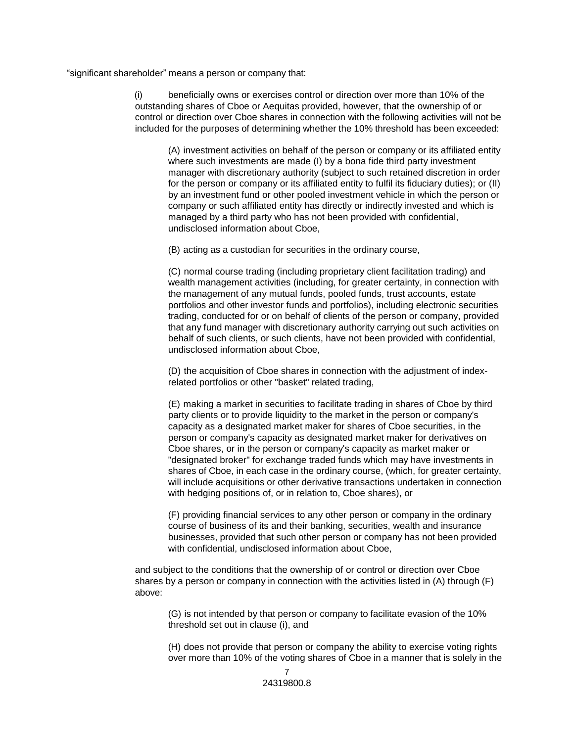"significant shareholder" means a person or company that:

(i) beneficially owns or exercises control or direction over more than 10% of the outstanding shares of Cboe or Aequitas provided, however, that the ownership of or control or direction over Cboe shares in connection with the following activities will not be included for the purposes of determining whether the 10% threshold has been exceeded:

(A) investment activities on behalf of the person or company or its affiliated entity where such investments are made (I) by a bona fide third party investment manager with discretionary authority (subject to such retained discretion in order for the person or company or its affiliated entity to fulfil its fiduciary duties); or (II) by an investment fund or other pooled investment vehicle in which the person or company or such affiliated entity has directly or indirectly invested and which is managed by a third party who has not been provided with confidential, undisclosed information about Cboe,

(B) acting as a custodian for securities in the ordinary course,

(C) normal course trading (including proprietary client facilitation trading) and wealth management activities (including, for greater certainty, in connection with the management of any mutual funds, pooled funds, trust accounts, estate portfolios and other investor funds and portfolios), including electronic securities trading, conducted for or on behalf of clients of the person or company, provided that any fund manager with discretionary authority carrying out such activities on behalf of such clients, or such clients, have not been provided with confidential, undisclosed information about Cboe,

(D) the acquisition of Cboe shares in connection with the adjustment of indexrelated portfolios or other "basket" related trading,

(E) making a market in securities to facilitate trading in shares of Cboe by third party clients or to provide liquidity to the market in the person or company's capacity as a designated market maker for shares of Cboe securities, in the person or company's capacity as designated market maker for derivatives on Cboe shares, or in the person or company's capacity as market maker or "designated broker" for exchange traded funds which may have investments in shares of Cboe, in each case in the ordinary course, (which, for greater certainty, will include acquisitions or other derivative transactions undertaken in connection with hedging positions of, or in relation to, Cboe shares), or

(F) providing financial services to any other person or company in the ordinary course of business of its and their banking, securities, wealth and insurance businesses, provided that such other person or company has not been provided with confidential, undisclosed information about Cboe,

and subject to the conditions that the ownership of or control or direction over Cboe shares by a person or company in connection with the activities listed in (A) through (F) above:

(G) is not intended by that person or company to facilitate evasion of the 10% threshold set out in clause (i), and

(H) does not provide that person or company the ability to exercise voting rights over more than 10% of the voting shares of Cboe in a manner that is solely in the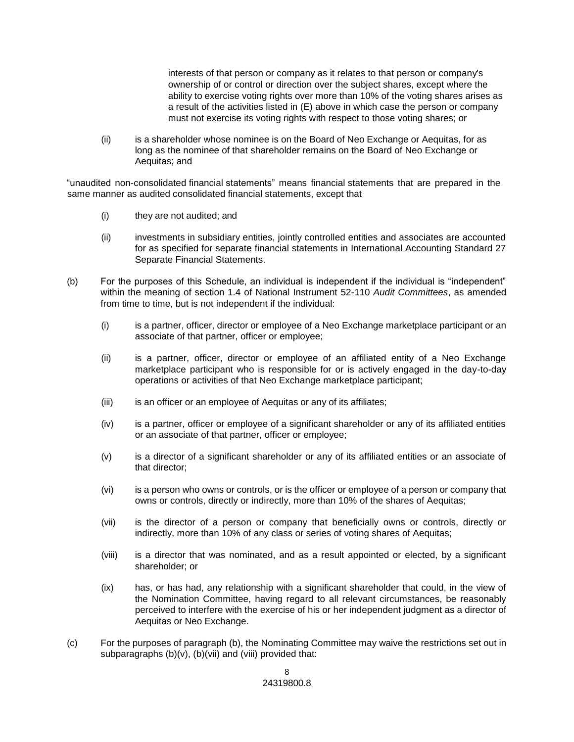interests of that person or company as it relates to that person or company's ownership of or control or direction over the subject shares, except where the ability to exercise voting rights over more than 10% of the voting shares arises as a result of the activities listed in (E) above in which case the person or company must not exercise its voting rights with respect to those voting shares; or

(ii) is a shareholder whose nominee is on the Board of Neo Exchange or Aequitas, for as long as the nominee of that shareholder remains on the Board of Neo Exchange or Aequitas; and

"unaudited non-consolidated financial statements" means financial statements that are prepared in the same manner as audited consolidated financial statements, except that

- (i) they are not audited; and
- (ii) investments in subsidiary entities, jointly controlled entities and associates are accounted for as specified for separate financial statements in International Accounting Standard 27 Separate Financial Statements.
- (b) For the purposes of this Schedule, an individual is independent if the individual is "independent" within the meaning of section 1.4 of National Instrument 52-110 *Audit Committees*, as amended from time to time, but is not independent if the individual:
	- (i) is a partner, officer, director or employee of a Neo Exchange marketplace participant or an associate of that partner, officer or employee;
	- (ii) is a partner, officer, director or employee of an affiliated entity of a Neo Exchange marketplace participant who is responsible for or is actively engaged in the day-to-day operations or activities of that Neo Exchange marketplace participant;
	- (iii) is an officer or an employee of Aequitas or any of its affiliates;
	- (iv) is a partner, officer or employee of a significant shareholder or any of its affiliated entities or an associate of that partner, officer or employee;
	- (v) is a director of a significant shareholder or any of its affiliated entities or an associate of that director;
	- (vi) is a person who owns or controls, or is the officer or employee of a person or company that owns or controls, directly or indirectly, more than 10% of the shares of Aequitas;
	- (vii) is the director of a person or company that beneficially owns or controls, directly or indirectly, more than 10% of any class or series of voting shares of Aequitas;
	- (viii) is a director that was nominated, and as a result appointed or elected, by a significant shareholder; or
	- (ix) has, or has had, any relationship with a significant shareholder that could, in the view of the Nomination Committee, having regard to all relevant circumstances, be reasonably perceived to interfere with the exercise of his or her independent judgment as a director of Aequitas or Neo Exchange.
- (c) For the purposes of paragraph (b), the Nominating Committee may waive the restrictions set out in subparagraphs  $(b)(v)$ ,  $(b)(vi)$  and (viii) provided that: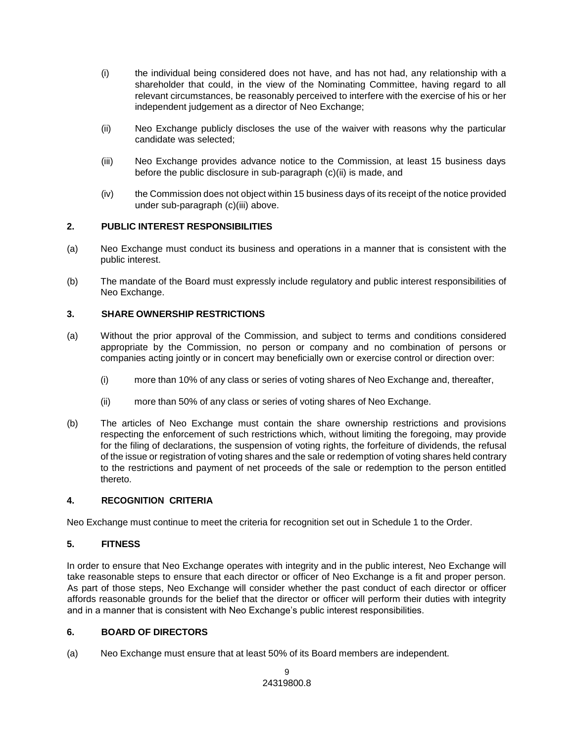- (i) the individual being considered does not have, and has not had, any relationship with a shareholder that could, in the view of the Nominating Committee, having regard to all relevant circumstances, be reasonably perceived to interfere with the exercise of his or her independent judgement as a director of Neo Exchange;
- (ii) Neo Exchange publicly discloses the use of the waiver with reasons why the particular candidate was selected;
- (iii) Neo Exchange provides advance notice to the Commission, at least 15 business days before the public disclosure in sub-paragraph (c)(ii) is made, and
- (iv) the Commission does not object within 15 business days of its receipt of the notice provided under sub-paragraph (c)(iii) above.

# **2. PUBLIC INTEREST RESPONSIBILITIES**

- (a) Neo Exchange must conduct its business and operations in a manner that is consistent with the public interest.
- (b) The mandate of the Board must expressly include regulatory and public interest responsibilities of Neo Exchange.

## **3. SHARE OWNERSHIP RESTRICTIONS**

- (a) Without the prior approval of the Commission, and subject to terms and conditions considered appropriate by the Commission, no person or company and no combination of persons or companies acting jointly or in concert may beneficially own or exercise control or direction over:
	- (i) more than 10% of any class or series of voting shares of Neo Exchange and, thereafter,
	- (ii) more than 50% of any class or series of voting shares of Neo Exchange.
- (b) The articles of Neo Exchange must contain the share ownership restrictions and provisions respecting the enforcement of such restrictions which, without limiting the foregoing, may provide for the filing of declarations, the suspension of voting rights, the forfeiture of dividends, the refusal of the issue or registration of voting shares and the sale or redemption of voting shares held contrary to the restrictions and payment of net proceeds of the sale or redemption to the person entitled thereto.

#### **4. RECOGNITION CRITERIA**

Neo Exchange must continue to meet the criteria for recognition set out in Schedule 1 to the Order.

# **5. FITNESS**

In order to ensure that Neo Exchange operates with integrity and in the public interest, Neo Exchange will take reasonable steps to ensure that each director or officer of Neo Exchange is a fit and proper person. As part of those steps, Neo Exchange will consider whether the past conduct of each director or officer affords reasonable grounds for the belief that the director or officer will perform their duties with integrity and in a manner that is consistent with Neo Exchange's public interest responsibilities.

# **6. BOARD OF DIRECTORS**

(a) Neo Exchange must ensure that at least 50% of its Board members are independent.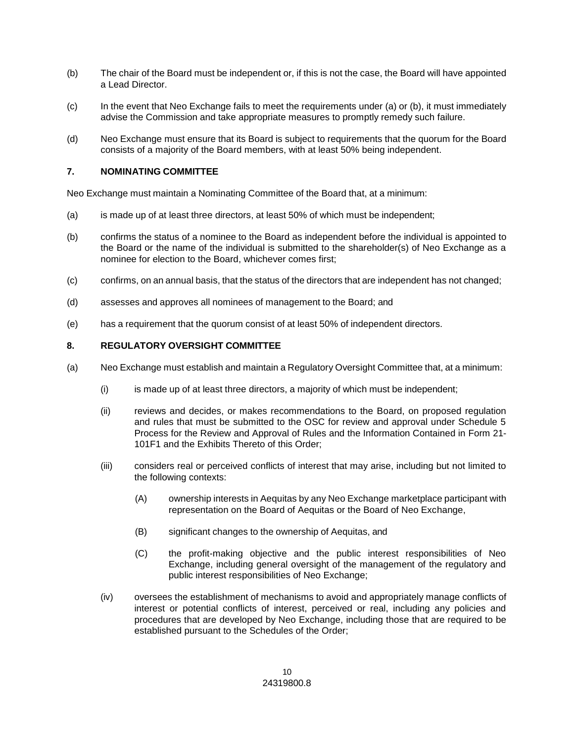- (b) The chair of the Board must be independent or, if this is not the case, the Board will have appointed a Lead Director.
- (c) In the event that Neo Exchange fails to meet the requirements under (a) or (b), it must immediately advise the Commission and take appropriate measures to promptly remedy such failure.
- (d) Neo Exchange must ensure that its Board is subject to requirements that the quorum for the Board consists of a majority of the Board members, with at least 50% being independent.

## **7. NOMINATING COMMITTEE**

Neo Exchange must maintain a Nominating Committee of the Board that, at a minimum:

- (a) is made up of at least three directors, at least 50% of which must be independent;
- (b) confirms the status of a nominee to the Board as independent before the individual is appointed to the Board or the name of the individual is submitted to the shareholder(s) of Neo Exchange as a nominee for election to the Board, whichever comes first;
- (c) confirms, on an annual basis, that the status of the directors that are independent has not changed;
- (d) assesses and approves all nominees of management to the Board; and
- (e) has a requirement that the quorum consist of at least 50% of independent directors.

## **8. REGULATORY OVERSIGHT COMMITTEE**

- (a) Neo Exchange must establish and maintain a Regulatory Oversight Committee that, at a minimum:
	- (i) is made up of at least three directors, a majority of which must be independent;
	- (ii) reviews and decides, or makes recommendations to the Board, on proposed regulation and rules that must be submitted to the OSC for review and approval under Schedule 5 Process for the Review and Approval of Rules and the Information Contained in Form 21- 101F1 and the Exhibits Thereto of this Order;
	- (iii) considers real or perceived conflicts of interest that may arise, including but not limited to the following contexts:
		- (A) ownership interests in Aequitas by any Neo Exchange marketplace participant with representation on the Board of Aequitas or the Board of Neo Exchange,
		- (B) significant changes to the ownership of Aequitas, and
		- (C) the profit-making objective and the public interest responsibilities of Neo Exchange, including general oversight of the management of the regulatory and public interest responsibilities of Neo Exchange;
	- (iv) oversees the establishment of mechanisms to avoid and appropriately manage conflicts of interest or potential conflicts of interest, perceived or real, including any policies and procedures that are developed by Neo Exchange, including those that are required to be established pursuant to the Schedules of the Order;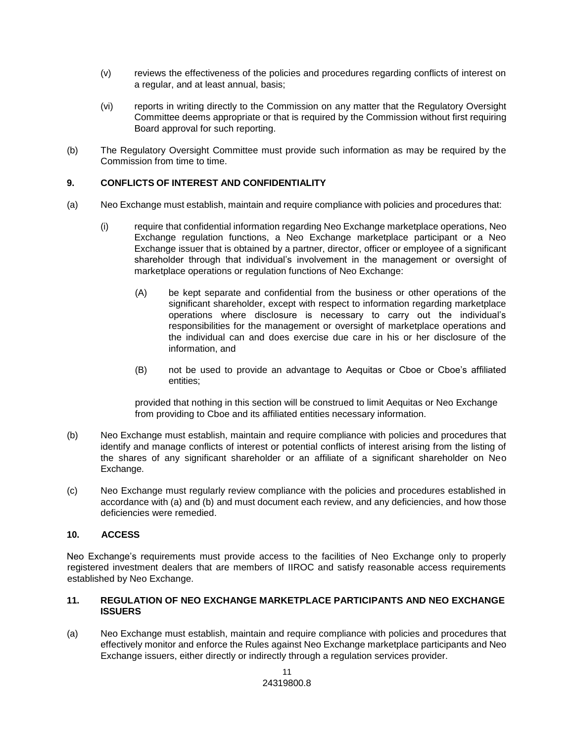- (v) reviews the effectiveness of the policies and procedures regarding conflicts of interest on a regular, and at least annual, basis;
- (vi) reports in writing directly to the Commission on any matter that the Regulatory Oversight Committee deems appropriate or that is required by the Commission without first requiring Board approval for such reporting.
- (b) The Regulatory Oversight Committee must provide such information as may be required by the Commission from time to time.

# **9. CONFLICTS OF INTEREST AND CONFIDENTIALITY**

- (a) Neo Exchange must establish, maintain and require compliance with policies and procedures that:
	- (i) require that confidential information regarding Neo Exchange marketplace operations, Neo Exchange regulation functions, a Neo Exchange marketplace participant or a Neo Exchange issuer that is obtained by a partner, director, officer or employee of a significant shareholder through that individual's involvement in the management or oversight of marketplace operations or regulation functions of Neo Exchange:
		- (A) be kept separate and confidential from the business or other operations of the significant shareholder, except with respect to information regarding marketplace operations where disclosure is necessary to carry out the individual's responsibilities for the management or oversight of marketplace operations and the individual can and does exercise due care in his or her disclosure of the information, and
		- (B) not be used to provide an advantage to Aequitas or Cboe or Cboe's affiliated entities;

provided that nothing in this section will be construed to limit Aequitas or Neo Exchange from providing to Cboe and its affiliated entities necessary information.

- (b) Neo Exchange must establish, maintain and require compliance with policies and procedures that identify and manage conflicts of interest or potential conflicts of interest arising from the listing of the shares of any significant shareholder or an affiliate of a significant shareholder on Neo Exchange.
- (c) Neo Exchange must regularly review compliance with the policies and procedures established in accordance with (a) and (b) and must document each review, and any deficiencies, and how those deficiencies were remedied.

#### **10. ACCESS**

Neo Exchange's requirements must provide access to the facilities of Neo Exchange only to properly registered investment dealers that are members of IIROC and satisfy reasonable access requirements established by Neo Exchange.

## **11. REGULATION OF NEO EXCHANGE MARKETPLACE PARTICIPANTS AND NEO EXCHANGE ISSUERS**

(a) Neo Exchange must establish, maintain and require compliance with policies and procedures that effectively monitor and enforce the Rules against Neo Exchange marketplace participants and Neo Exchange issuers, either directly or indirectly through a regulation services provider.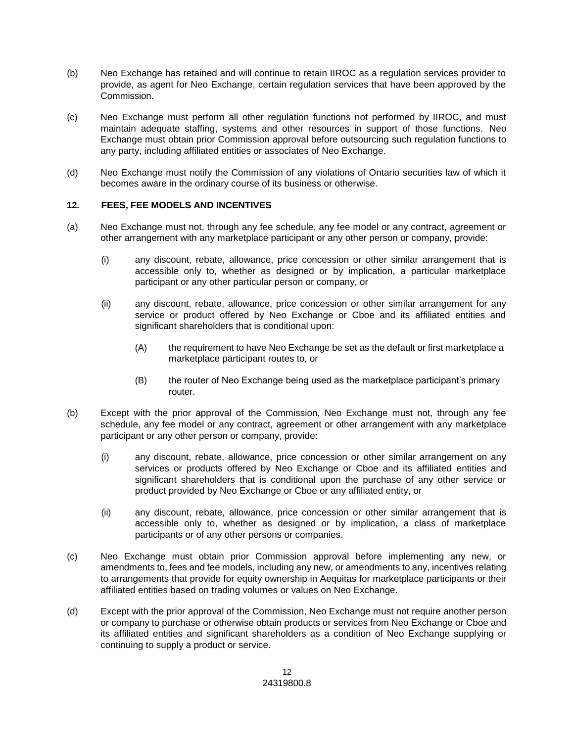- (b) Neo Exchange has retained and will continue to retain IIROC as a regulation services provider to provide, as agent for Neo Exchange, certain regulation services that have been approved by the Commission.
- (c) Neo Exchange must perform all other regulation functions not performed by IIROC, and must maintain adequate staffing, systems and other resources in support of those functions. Neo Exchange must obtain prior Commission approval before outsourcing such regulation functions to any party, including affiliated entities or associates of Neo Exchange.
- (d) Neo Exchange must notify the Commission of any violations of Ontario securities law of which it becomes aware in the ordinary course of its business or otherwise.

## **12. FEES, FEE MODELS AND INCENTIVES**

- (a) Neo Exchange must not, through any fee schedule, any fee model or any contract, agreement or other arrangement with any marketplace participant or any other person or company, provide:
	- (i) any discount, rebate, allowance, price concession or other similar arrangement that is accessible only to, whether as designed or by implication, a particular marketplace participant or any other particular person or company, or
	- (ii) any discount, rebate, allowance, price concession or other similar arrangement for any service or product offered by Neo Exchange or Cboe and its affiliated entities and significant shareholders that is conditional upon:
		- (A) the requirement to have Neo Exchange be set as the default or first marketplace a marketplace participant routes to, or
		- (B) the router of Neo Exchange being used as the marketplace participant's primary router.
- (b) Except with the prior approval of the Commission, Neo Exchange must not, through any fee schedule, any fee model or any contract, agreement or other arrangement with any marketplace participant or any other person or company, provide:
	- (i) any discount, rebate, allowance, price concession or other similar arrangement on any services or products offered by Neo Exchange or Cboe and its affiliated entities and significant shareholders that is conditional upon the purchase of any other service or product provided by Neo Exchange or Cboe or any affiliated entity, or
	- (ii) any discount, rebate, allowance, price concession or other similar arrangement that is accessible only to, whether as designed or by implication, a class of marketplace participants or of any other persons or companies.
- (c) Neo Exchange must obtain prior Commission approval before implementing any new, or amendments to, fees and fee models, including any new, or amendments to any, incentives relating to arrangements that provide for equity ownership in Aequitas for marketplace participants or their affiliated entities based on trading volumes or values on Neo Exchange.
- (d) Except with the prior approval of the Commission, Neo Exchange must not require another person or company to purchase or otherwise obtain products or services from Neo Exchange or Cboe and its affiliated entities and significant shareholders as a condition of Neo Exchange supplying or continuing to supply a product or service.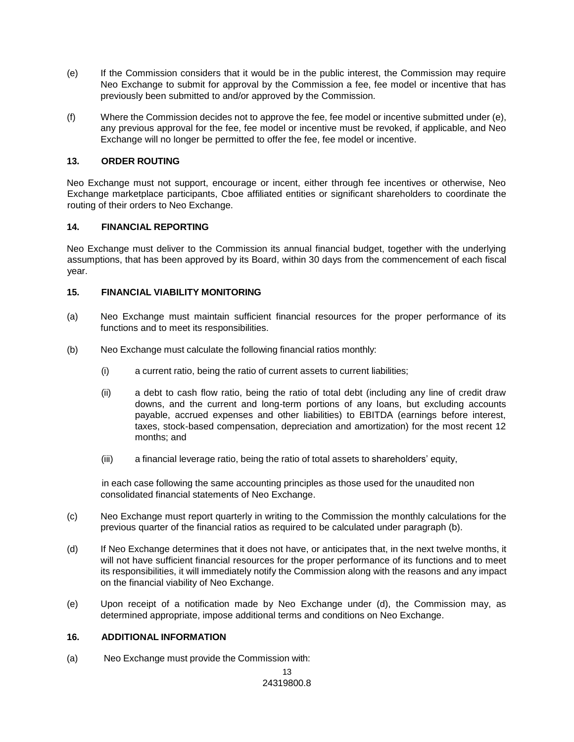- (e) If the Commission considers that it would be in the public interest, the Commission may require Neo Exchange to submit for approval by the Commission a fee, fee model or incentive that has previously been submitted to and/or approved by the Commission.
- (f) Where the Commission decides not to approve the fee, fee model or incentive submitted under (e), any previous approval for the fee, fee model or incentive must be revoked, if applicable, and Neo Exchange will no longer be permitted to offer the fee, fee model or incentive.

## **13. ORDER ROUTING**

Neo Exchange must not support, encourage or incent, either through fee incentives or otherwise, Neo Exchange marketplace participants, Cboe affiliated entities or significant shareholders to coordinate the routing of their orders to Neo Exchange.

## **14. FINANCIAL REPORTING**

Neo Exchange must deliver to the Commission its annual financial budget, together with the underlying assumptions, that has been approved by its Board, within 30 days from the commencement of each fiscal year.

## **15. FINANCIAL VIABILITY MONITORING**

- (a) Neo Exchange must maintain sufficient financial resources for the proper performance of its functions and to meet its responsibilities.
- (b) Neo Exchange must calculate the following financial ratios monthly:
	- (i) a current ratio, being the ratio of current assets to current liabilities;
	- (ii) a debt to cash flow ratio, being the ratio of total debt (including any line of credit draw downs, and the current and long-term portions of any loans, but excluding accounts payable, accrued expenses and other liabilities) to EBITDA (earnings before interest, taxes, stock-based compensation, depreciation and amortization) for the most recent 12 months; and
	- (iii) a financial leverage ratio, being the ratio of total assets to shareholders' equity,

in each case following the same accounting principles as those used for the unaudited non consolidated financial statements of Neo Exchange.

- (c) Neo Exchange must report quarterly in writing to the Commission the monthly calculations for the previous quarter of the financial ratios as required to be calculated under paragraph (b).
- (d) If Neo Exchange determines that it does not have, or anticipates that, in the next twelve months, it will not have sufficient financial resources for the proper performance of its functions and to meet its responsibilities, it will immediately notify the Commission along with the reasons and any impact on the financial viability of Neo Exchange.
- (e) Upon receipt of a notification made by Neo Exchange under (d), the Commission may, as determined appropriate, impose additional terms and conditions on Neo Exchange.

#### **16. ADDITIONAL INFORMATION**

(a) Neo Exchange must provide the Commission with: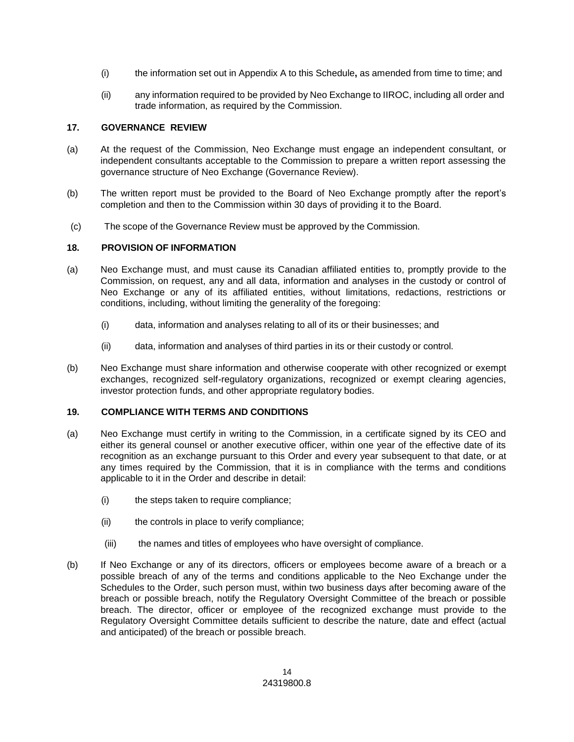- (i) the information set out in Appendix A to this Schedule**,** as amended from time to time; and
- (ii) any information required to be provided by Neo Exchange to IIROC, including all order and trade information, as required by the Commission.

## **17. GOVERNANCE REVIEW**

- (a) At the request of the Commission, Neo Exchange must engage an independent consultant, or independent consultants acceptable to the Commission to prepare a written report assessing the governance structure of Neo Exchange (Governance Review).
- (b) The written report must be provided to the Board of Neo Exchange promptly after the report's completion and then to the Commission within 30 days of providing it to the Board.
- (c) The scope of the Governance Review must be approved by the Commission.

## **18. PROVISION OF INFORMATION**

- (a) Neo Exchange must, and must cause its Canadian affiliated entities to, promptly provide to the Commission, on request, any and all data, information and analyses in the custody or control of Neo Exchange or any of its affiliated entities, without limitations, redactions, restrictions or conditions, including, without limiting the generality of the foregoing:
	- (i) data, information and analyses relating to all of its or their businesses; and
	- (ii) data, information and analyses of third parties in its or their custody or control.
- (b) Neo Exchange must share information and otherwise cooperate with other recognized or exempt exchanges, recognized self-regulatory organizations, recognized or exempt clearing agencies, investor protection funds, and other appropriate regulatory bodies.

# **19. COMPLIANCE WITH TERMS AND CONDITIONS**

- (a) Neo Exchange must certify in writing to the Commission, in a certificate signed by its CEO and either its general counsel or another executive officer, within one year of the effective date of its recognition as an exchange pursuant to this Order and every year subsequent to that date, or at any times required by the Commission, that it is in compliance with the terms and conditions applicable to it in the Order and describe in detail:
	- (i) the steps taken to require compliance;
	- (ii) the controls in place to verify compliance;
	- (iii) the names and titles of employees who have oversight of compliance.
- (b) If Neo Exchange or any of its directors, officers or employees become aware of a breach or a possible breach of any of the terms and conditions applicable to the Neo Exchange under the Schedules to the Order, such person must, within two business days after becoming aware of the breach or possible breach, notify the Regulatory Oversight Committee of the breach or possible breach. The director, officer or employee of the recognized exchange must provide to the Regulatory Oversight Committee details sufficient to describe the nature, date and effect (actual and anticipated) of the breach or possible breach.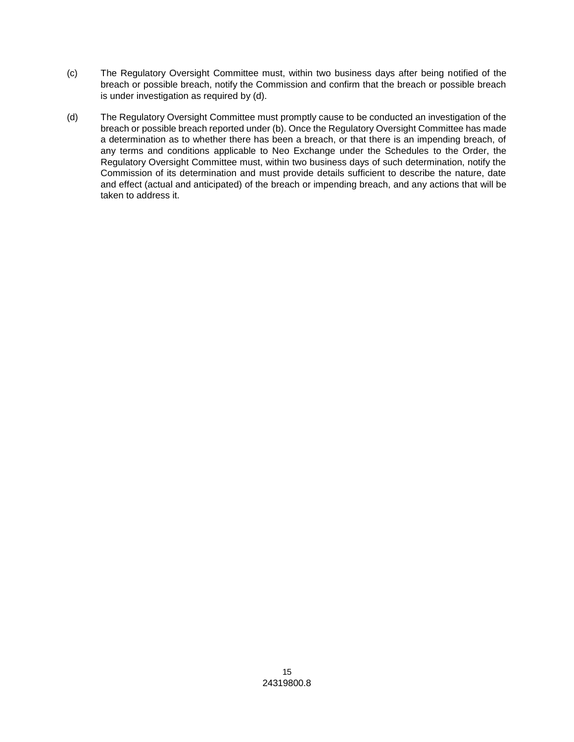- (c) The Regulatory Oversight Committee must, within two business days after being notified of the breach or possible breach, notify the Commission and confirm that the breach or possible breach is under investigation as required by (d).
- (d) The Regulatory Oversight Committee must promptly cause to be conducted an investigation of the breach or possible breach reported under (b). Once the Regulatory Oversight Committee has made a determination as to whether there has been a breach, or that there is an impending breach, of any terms and conditions applicable to Neo Exchange under the Schedules to the Order, the Regulatory Oversight Committee must, within two business days of such determination, notify the Commission of its determination and must provide details sufficient to describe the nature, date and effect (actual and anticipated) of the breach or impending breach, and any actions that will be taken to address it.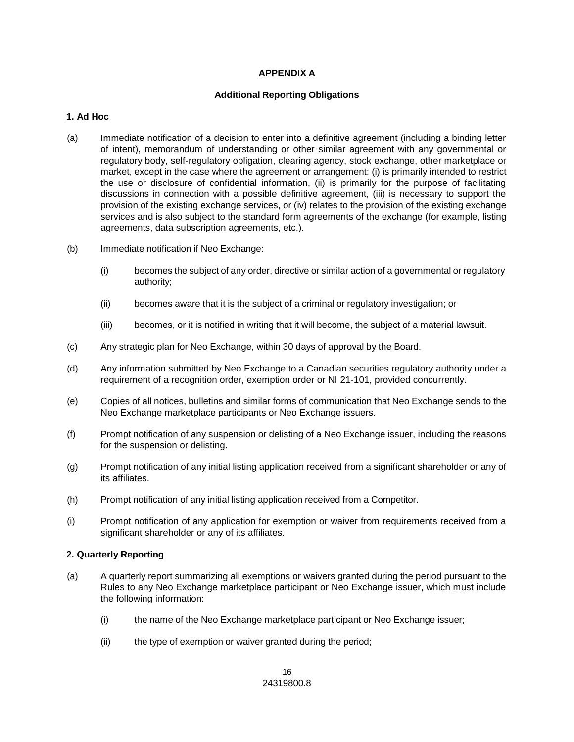## **APPENDIX A**

## **Additional Reporting Obligations**

#### **1. Ad Hoc**

- (a) Immediate notification of a decision to enter into a definitive agreement (including a binding letter of intent), memorandum of understanding or other similar agreement with any governmental or regulatory body, self-regulatory obligation, clearing agency, stock exchange, other marketplace or market, except in the case where the agreement or arrangement: (i) is primarily intended to restrict the use or disclosure of confidential information, (ii) is primarily for the purpose of facilitating discussions in connection with a possible definitive agreement, (iii) is necessary to support the provision of the existing exchange services, or (iv) relates to the provision of the existing exchange services and is also subject to the standard form agreements of the exchange (for example, listing agreements, data subscription agreements, etc.).
- (b) Immediate notification if Neo Exchange:
	- (i) becomes the subject of any order, directive or similar action of a governmental or regulatory authority;
	- (ii) becomes aware that it is the subject of a criminal or regulatory investigation; or
	- (iii) becomes, or it is notified in writing that it will become, the subject of a material lawsuit.
- (c) Any strategic plan for Neo Exchange, within 30 days of approval by the Board.
- (d) Any information submitted by Neo Exchange to a Canadian securities regulatory authority under a requirement of a recognition order, exemption order or NI 21-101, provided concurrently.
- (e) Copies of all notices, bulletins and similar forms of communication that Neo Exchange sends to the Neo Exchange marketplace participants or Neo Exchange issuers.
- (f) Prompt notification of any suspension or delisting of a Neo Exchange issuer, including the reasons for the suspension or delisting.
- (g) Prompt notification of any initial listing application received from a significant shareholder or any of its affiliates.
- (h) Prompt notification of any initial listing application received from a Competitor.
- (i) Prompt notification of any application for exemption or waiver from requirements received from a significant shareholder or any of its affiliates.

# **2. Quarterly Reporting**

- (a) A quarterly report summarizing all exemptions or waivers granted during the period pursuant to the Rules to any Neo Exchange marketplace participant or Neo Exchange issuer, which must include the following information:
	- (i) the name of the Neo Exchange marketplace participant or Neo Exchange issuer;
	- (ii) the type of exemption or waiver granted during the period;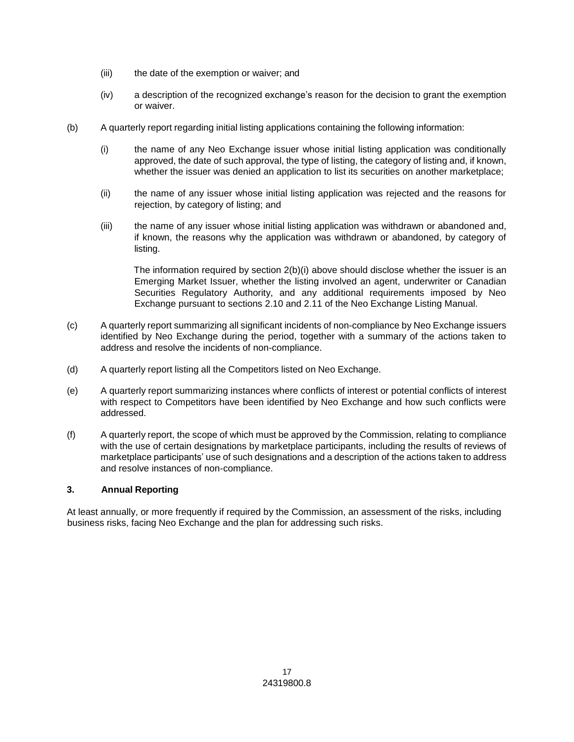- (iii) the date of the exemption or waiver; and
- (iv) a description of the recognized exchange's reason for the decision to grant the exemption or waiver.
- (b) A quarterly report regarding initial listing applications containing the following information:
	- (i) the name of any Neo Exchange issuer whose initial listing application was conditionally approved, the date of such approval, the type of listing, the category of listing and, if known, whether the issuer was denied an application to list its securities on another marketplace;
	- (ii) the name of any issuer whose initial listing application was rejected and the reasons for rejection, by category of listing; and
	- (iii) the name of any issuer whose initial listing application was withdrawn or abandoned and, if known, the reasons why the application was withdrawn or abandoned, by category of listing.

The information required by section 2(b)(i) above should disclose whether the issuer is an Emerging Market Issuer, whether the listing involved an agent, underwriter or Canadian Securities Regulatory Authority, and any additional requirements imposed by Neo Exchange pursuant to sections 2.10 and 2.11 of the Neo Exchange Listing Manual.

- (c) A quarterly report summarizing all significant incidents of non-compliance by Neo Exchange issuers identified by Neo Exchange during the period, together with a summary of the actions taken to address and resolve the incidents of non-compliance.
- (d) A quarterly report listing all the Competitors listed on Neo Exchange.
- (e) A quarterly report summarizing instances where conflicts of interest or potential conflicts of interest with respect to Competitors have been identified by Neo Exchange and how such conflicts were addressed.
- (f) A quarterly report, the scope of which must be approved by the Commission, relating to compliance with the use of certain designations by marketplace participants, including the results of reviews of marketplace participants' use of such designations and a description of the actions taken to address and resolve instances of non-compliance.

# **3. Annual Reporting**

At least annually, or more frequently if required by the Commission, an assessment of the risks, including business risks, facing Neo Exchange and the plan for addressing such risks.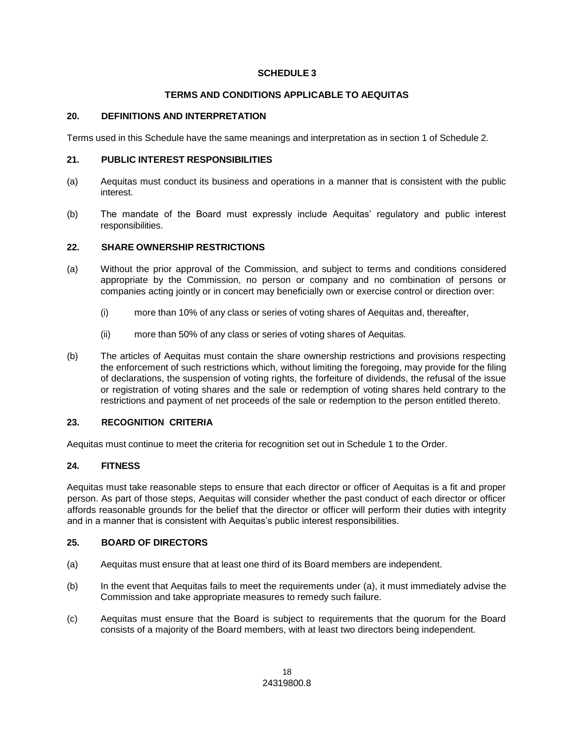## **SCHEDULE 3**

# **TERMS AND CONDITIONS APPLICABLE TO AEQUITAS**

## **20. DEFINITIONS AND INTERPRETATION**

Terms used in this Schedule have the same meanings and interpretation as in section 1 of Schedule 2.

## **21. PUBLIC INTEREST RESPONSIBILITIES**

- (a) Aequitas must conduct its business and operations in a manner that is consistent with the public interest.
- (b) The mandate of the Board must expressly include Aequitas' regulatory and public interest responsibilities.

## **22. SHARE OWNERSHIP RESTRICTIONS**

- (a) Without the prior approval of the Commission, and subject to terms and conditions considered appropriate by the Commission, no person or company and no combination of persons or companies acting jointly or in concert may beneficially own or exercise control or direction over:
	- (i) more than 10% of any class or series of voting shares of Aequitas and, thereafter,
	- (ii) more than 50% of any class or series of voting shares of Aequitas.
- (b) The articles of Aequitas must contain the share ownership restrictions and provisions respecting the enforcement of such restrictions which, without limiting the foregoing, may provide for the filing of declarations, the suspension of voting rights, the forfeiture of dividends, the refusal of the issue or registration of voting shares and the sale or redemption of voting shares held contrary to the restrictions and payment of net proceeds of the sale or redemption to the person entitled thereto.

# **23. RECOGNITION CRITERIA**

Aequitas must continue to meet the criteria for recognition set out in Schedule 1 to the Order.

#### **24. FITNESS**

Aequitas must take reasonable steps to ensure that each director or officer of Aequitas is a fit and proper person. As part of those steps, Aequitas will consider whether the past conduct of each director or officer affords reasonable grounds for the belief that the director or officer will perform their duties with integrity and in a manner that is consistent with Aequitas's public interest responsibilities.

## **25. BOARD OF DIRECTORS**

- (a) Aequitas must ensure that at least one third of its Board members are independent.
- (b) In the event that Aequitas fails to meet the requirements under (a), it must immediately advise the Commission and take appropriate measures to remedy such failure.
- (c) Aequitas must ensure that the Board is subject to requirements that the quorum for the Board consists of a majority of the Board members, with at least two directors being independent.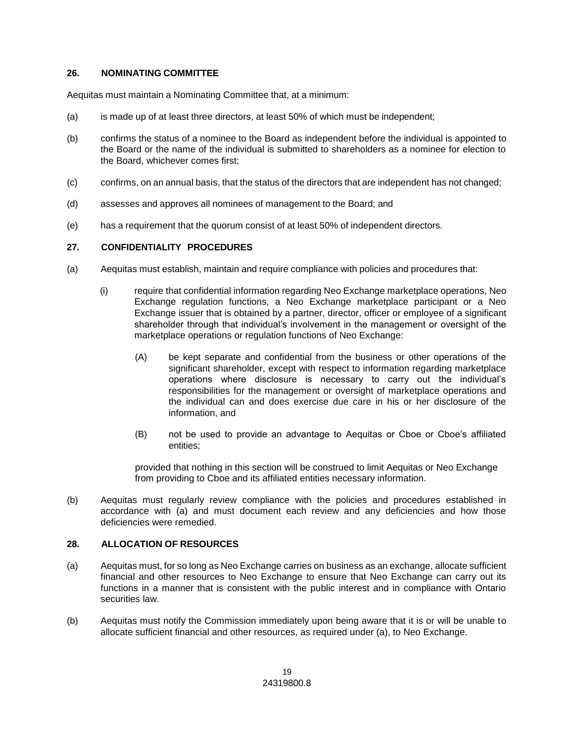## **26. NOMINATING COMMITTEE**

Aequitas must maintain a Nominating Committee that, at a minimum:

- (a) is made up of at least three directors, at least 50% of which must be independent;
- (b) confirms the status of a nominee to the Board as independent before the individual is appointed to the Board or the name of the individual is submitted to shareholders as a nominee for election to the Board, whichever comes first;
- (c) confirms, on an annual basis, that the status of the directors that are independent has not changed;
- (d) assesses and approves all nominees of management to the Board; and
- (e) has a requirement that the quorum consist of at least 50% of independent directors.

# **27. CONFIDENTIALITY PROCEDURES**

- (a) Aequitas must establish, maintain and require compliance with policies and procedures that:
	- (i) require that confidential information regarding Neo Exchange marketplace operations, Neo Exchange regulation functions, a Neo Exchange marketplace participant or a Neo Exchange issuer that is obtained by a partner, director, officer or employee of a significant shareholder through that individual's involvement in the management or oversight of the marketplace operations or regulation functions of Neo Exchange:
		- (A) be kept separate and confidential from the business or other operations of the significant shareholder, except with respect to information regarding marketplace operations where disclosure is necessary to carry out the individual's responsibilities for the management or oversight of marketplace operations and the individual can and does exercise due care in his or her disclosure of the information, and
		- (B) not be used to provide an advantage to Aequitas or Cboe or Cboe's affiliated entities;

provided that nothing in this section will be construed to limit Aequitas or Neo Exchange from providing to Cboe and its affiliated entities necessary information.

(b) Aequitas must regularly review compliance with the policies and procedures established in accordance with (a) and must document each review and any deficiencies and how those deficiencies were remedied.

#### **28. ALLOCATION OF RESOURCES**

- (a) Aequitas must, for so long as Neo Exchange carries on business as an exchange, allocate sufficient financial and other resources to Neo Exchange to ensure that Neo Exchange can carry out its functions in a manner that is consistent with the public interest and in compliance with Ontario securities law.
- (b) Aequitas must notify the Commission immediately upon being aware that it is or will be unable to allocate sufficient financial and other resources, as required under (a), to Neo Exchange.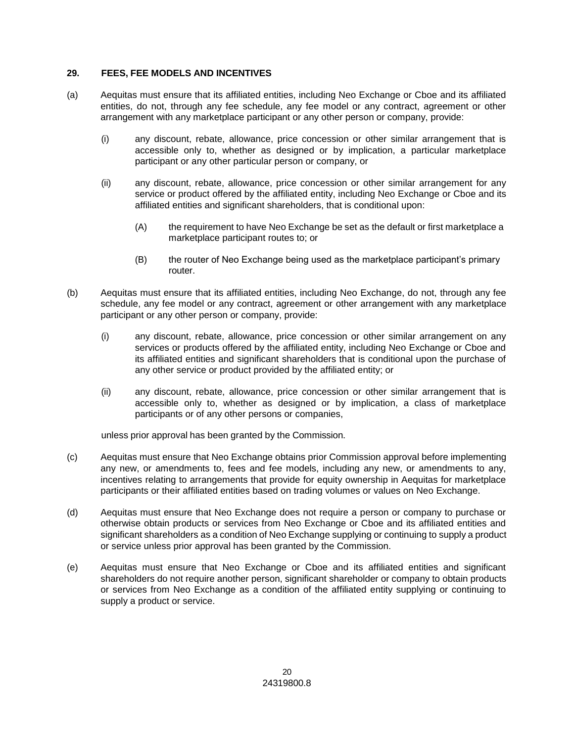# **29. FEES, FEE MODELS AND INCENTIVES**

- (a) Aequitas must ensure that its affiliated entities, including Neo Exchange or Cboe and its affiliated entities, do not, through any fee schedule, any fee model or any contract, agreement or other arrangement with any marketplace participant or any other person or company, provide:
	- (i) any discount, rebate, allowance, price concession or other similar arrangement that is accessible only to, whether as designed or by implication, a particular marketplace participant or any other particular person or company, or
	- (ii) any discount, rebate, allowance, price concession or other similar arrangement for any service or product offered by the affiliated entity, including Neo Exchange or Cboe and its affiliated entities and significant shareholders, that is conditional upon:
		- (A) the requirement to have Neo Exchange be set as the default or first marketplace a marketplace participant routes to; or
		- (B) the router of Neo Exchange being used as the marketplace participant's primary router.
- (b) Aequitas must ensure that its affiliated entities, including Neo Exchange, do not, through any fee schedule, any fee model or any contract, agreement or other arrangement with any marketplace participant or any other person or company, provide:
	- (i) any discount, rebate, allowance, price concession or other similar arrangement on any services or products offered by the affiliated entity, including Neo Exchange or Cboe and its affiliated entities and significant shareholders that is conditional upon the purchase of any other service or product provided by the affiliated entity; or
	- (ii) any discount, rebate, allowance, price concession or other similar arrangement that is accessible only to, whether as designed or by implication, a class of marketplace participants or of any other persons or companies,

unless prior approval has been granted by the Commission.

- (c) Aequitas must ensure that Neo Exchange obtains prior Commission approval before implementing any new, or amendments to, fees and fee models, including any new, or amendments to any, incentives relating to arrangements that provide for equity ownership in Aequitas for marketplace participants or their affiliated entities based on trading volumes or values on Neo Exchange.
- (d) Aequitas must ensure that Neo Exchange does not require a person or company to purchase or otherwise obtain products or services from Neo Exchange or Cboe and its affiliated entities and significant shareholders as a condition of Neo Exchange supplying or continuing to supply a product or service unless prior approval has been granted by the Commission.
- (e) Aequitas must ensure that Neo Exchange or Cboe and its affiliated entities and significant shareholders do not require another person, significant shareholder or company to obtain products or services from Neo Exchange as a condition of the affiliated entity supplying or continuing to supply a product or service.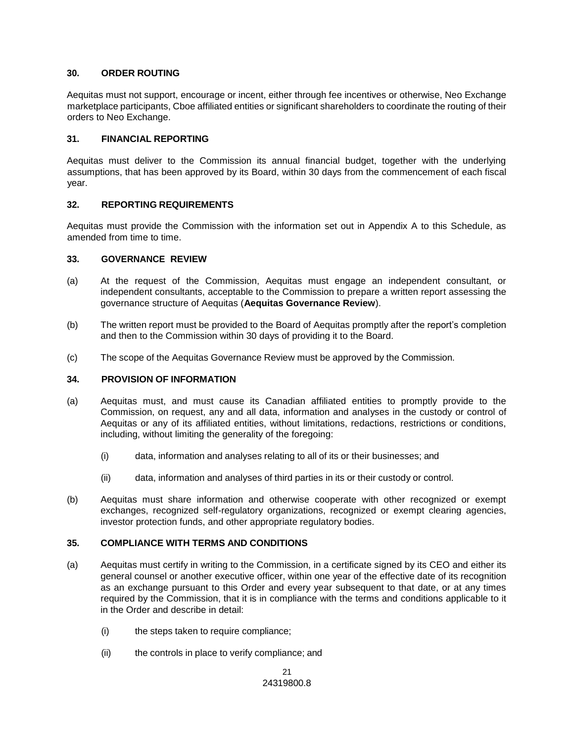# **30. ORDER ROUTING**

Aequitas must not support, encourage or incent, either through fee incentives or otherwise, Neo Exchange marketplace participants, Cboe affiliated entities or significant shareholders to coordinate the routing of their orders to Neo Exchange.

## **31. FINANCIAL REPORTING**

Aequitas must deliver to the Commission its annual financial budget, together with the underlying assumptions, that has been approved by its Board, within 30 days from the commencement of each fiscal year.

## **32. REPORTING REQUIREMENTS**

Aequitas must provide the Commission with the information set out in Appendix A to this Schedule, as amended from time to time.

#### **33. GOVERNANCE REVIEW**

- (a) At the request of the Commission, Aequitas must engage an independent consultant, or independent consultants, acceptable to the Commission to prepare a written report assessing the governance structure of Aequitas (**Aequitas Governance Review**).
- (b) The written report must be provided to the Board of Aequitas promptly after the report's completion and then to the Commission within 30 days of providing it to the Board.
- (c) The scope of the Aequitas Governance Review must be approved by the Commission.

#### **34. PROVISION OF INFORMATION**

- (a) Aequitas must, and must cause its Canadian affiliated entities to promptly provide to the Commission, on request, any and all data, information and analyses in the custody or control of Aequitas or any of its affiliated entities, without limitations, redactions, restrictions or conditions, including, without limiting the generality of the foregoing:
	- (i) data, information and analyses relating to all of its or their businesses; and
	- (ii) data, information and analyses of third parties in its or their custody or control.
- (b) Aequitas must share information and otherwise cooperate with other recognized or exempt exchanges, recognized self-regulatory organizations, recognized or exempt clearing agencies, investor protection funds, and other appropriate regulatory bodies.

## **35. COMPLIANCE WITH TERMS AND CONDITIONS**

- (a) Aequitas must certify in writing to the Commission, in a certificate signed by its CEO and either its general counsel or another executive officer, within one year of the effective date of its recognition as an exchange pursuant to this Order and every year subsequent to that date, or at any times required by the Commission, that it is in compliance with the terms and conditions applicable to it in the Order and describe in detail:
	- (i) the steps taken to require compliance;
	- (ii) the controls in place to verify compliance; and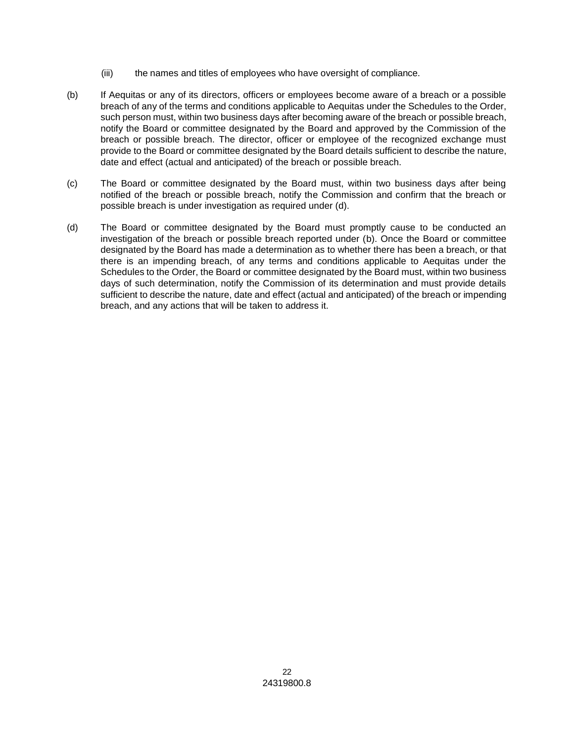- (iii) the names and titles of employees who have oversight of compliance.
- (b) If Aequitas or any of its directors, officers or employees become aware of a breach or a possible breach of any of the terms and conditions applicable to Aequitas under the Schedules to the Order, such person must, within two business days after becoming aware of the breach or possible breach, notify the Board or committee designated by the Board and approved by the Commission of the breach or possible breach. The director, officer or employee of the recognized exchange must provide to the Board or committee designated by the Board details sufficient to describe the nature, date and effect (actual and anticipated) of the breach or possible breach.
- (c) The Board or committee designated by the Board must, within two business days after being notified of the breach or possible breach, notify the Commission and confirm that the breach or possible breach is under investigation as required under (d).
- (d) The Board or committee designated by the Board must promptly cause to be conducted an investigation of the breach or possible breach reported under (b). Once the Board or committee designated by the Board has made a determination as to whether there has been a breach, or that there is an impending breach, of any terms and conditions applicable to Aequitas under the Schedules to the Order, the Board or committee designated by the Board must, within two business days of such determination, notify the Commission of its determination and must provide details sufficient to describe the nature, date and effect (actual and anticipated) of the breach or impending breach, and any actions that will be taken to address it.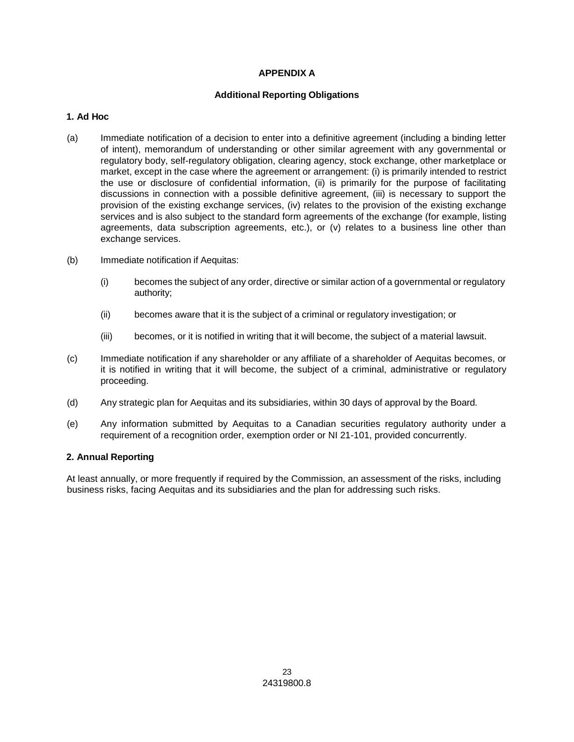# **APPENDIX A**

# **Additional Reporting Obligations**

## **1. Ad Hoc**

- (a) Immediate notification of a decision to enter into a definitive agreement (including a binding letter of intent), memorandum of understanding or other similar agreement with any governmental or regulatory body, self-regulatory obligation, clearing agency, stock exchange, other marketplace or market, except in the case where the agreement or arrangement: (i) is primarily intended to restrict the use or disclosure of confidential information, (ii) is primarily for the purpose of facilitating discussions in connection with a possible definitive agreement, (iii) is necessary to support the provision of the existing exchange services, (iv) relates to the provision of the existing exchange services and is also subject to the standard form agreements of the exchange (for example, listing agreements, data subscription agreements, etc.), or (v) relates to a business line other than exchange services.
- (b) Immediate notification if Aequitas:
	- (i) becomes the subject of any order, directive or similar action of a governmental or regulatory authority;
	- (ii) becomes aware that it is the subject of a criminal or regulatory investigation; or
	- (iii) becomes, or it is notified in writing that it will become, the subject of a material lawsuit.
- (c) Immediate notification if any shareholder or any affiliate of a shareholder of Aequitas becomes, or it is notified in writing that it will become, the subject of a criminal, administrative or regulatory proceeding.
- (d) Any strategic plan for Aequitas and its subsidiaries, within 30 days of approval by the Board.
- (e) Any information submitted by Aequitas to a Canadian securities regulatory authority under a requirement of a recognition order, exemption order or NI 21-101, provided concurrently.

# **2. Annual Reporting**

At least annually, or more frequently if required by the Commission, an assessment of the risks, including business risks, facing Aequitas and its subsidiaries and the plan for addressing such risks.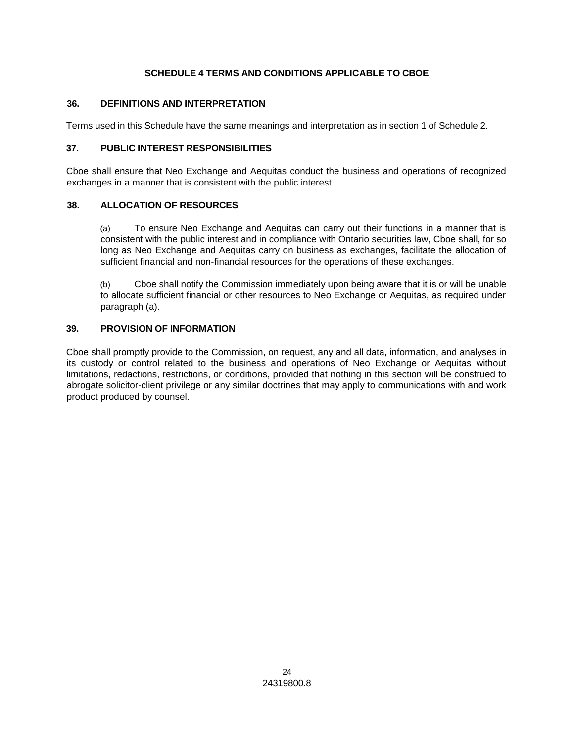# **SCHEDULE 4 TERMS AND CONDITIONS APPLICABLE TO CBOE**

# **36. DEFINITIONS AND INTERPRETATION**

Terms used in this Schedule have the same meanings and interpretation as in section 1 of Schedule 2.

# **37. PUBLIC INTEREST RESPONSIBILITIES**

Cboe shall ensure that Neo Exchange and Aequitas conduct the business and operations of recognized exchanges in a manner that is consistent with the public interest.

# **38. ALLOCATION OF RESOURCES**

(a) To ensure Neo Exchange and Aequitas can carry out their functions in a manner that is consistent with the public interest and in compliance with Ontario securities law, Cboe shall, for so long as Neo Exchange and Aequitas carry on business as exchanges, facilitate the allocation of sufficient financial and non-financial resources for the operations of these exchanges.

(b) Cboe shall notify the Commission immediately upon being aware that it is or will be unable to allocate sufficient financial or other resources to Neo Exchange or Aequitas, as required under paragraph (a).

# **39. PROVISION OF INFORMATION**

Cboe shall promptly provide to the Commission, on request, any and all data, information, and analyses in its custody or control related to the business and operations of Neo Exchange or Aequitas without limitations, redactions, restrictions, or conditions, provided that nothing in this section will be construed to abrogate solicitor-client privilege or any similar doctrines that may apply to communications with and work product produced by counsel.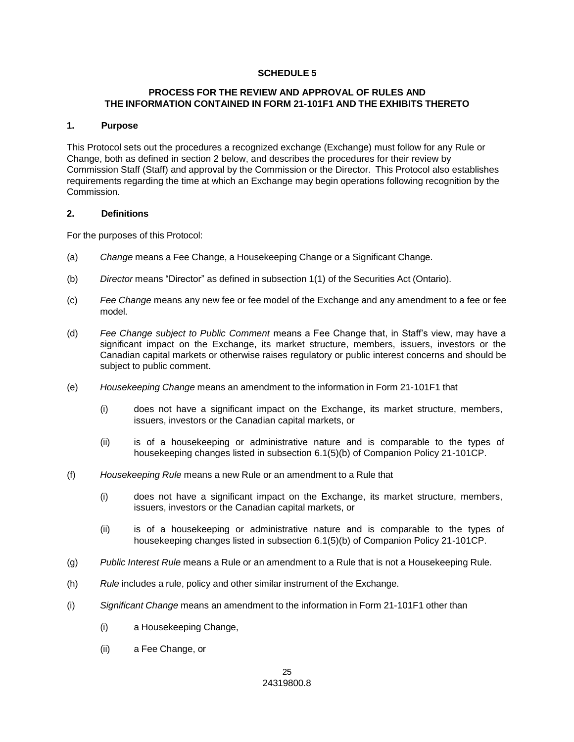## **SCHEDULE 5**

# **PROCESS FOR THE REVIEW AND APPROVAL OF RULES AND THE INFORMATION CONTAINED IN FORM 21-101F1 AND THE EXHIBITS THERETO**

#### **1. Purpose**

This Protocol sets out the procedures a recognized exchange (Exchange) must follow for any Rule or Change, both as defined in section 2 below, and describes the procedures for their review by Commission Staff (Staff) and approval by the Commission or the Director. This Protocol also establishes requirements regarding the time at which an Exchange may begin operations following recognition by the Commission.

#### **2. Definitions**

For the purposes of this Protocol:

- (a) *Change* means a Fee Change, a Housekeeping Change or a Significant Change.
- (b) *Director* means "Director" as defined in subsection 1(1) of the Securities Act (Ontario).
- (c) *Fee Change* means any new fee or fee model of the Exchange and any amendment to a fee or fee model.
- (d) *Fee Change subject to Public Comment* means a Fee Change that, in Staff's view, may have a significant impact on the Exchange, its market structure, members, issuers, investors or the Canadian capital markets or otherwise raises regulatory or public interest concerns and should be subject to public comment.
- (e) *Housekeeping Change* means an amendment to the information in Form 21-101F1 that
	- (i) does not have a significant impact on the Exchange, its market structure, members, issuers, investors or the Canadian capital markets, or
	- (ii) is of a housekeeping or administrative nature and is comparable to the types of housekeeping changes listed in subsection 6.1(5)(b) of Companion Policy 21-101CP.
- (f) *Housekeeping Rule* means a new Rule or an amendment to a Rule that
	- (i) does not have a significant impact on the Exchange, its market structure, members, issuers, investors or the Canadian capital markets, or
	- (ii) is of a housekeeping or administrative nature and is comparable to the types of housekeeping changes listed in subsection 6.1(5)(b) of Companion Policy 21-101CP.
- (g) *Public Interest Rule* means a Rule or an amendment to a Rule that is not a Housekeeping Rule.
- (h) *Rule* includes a rule, policy and other similar instrument of the Exchange.
- (i) *Significant Change* means an amendment to the information in Form 21-101F1 other than
	- (i) a Housekeeping Change,
	- (ii) a Fee Change, or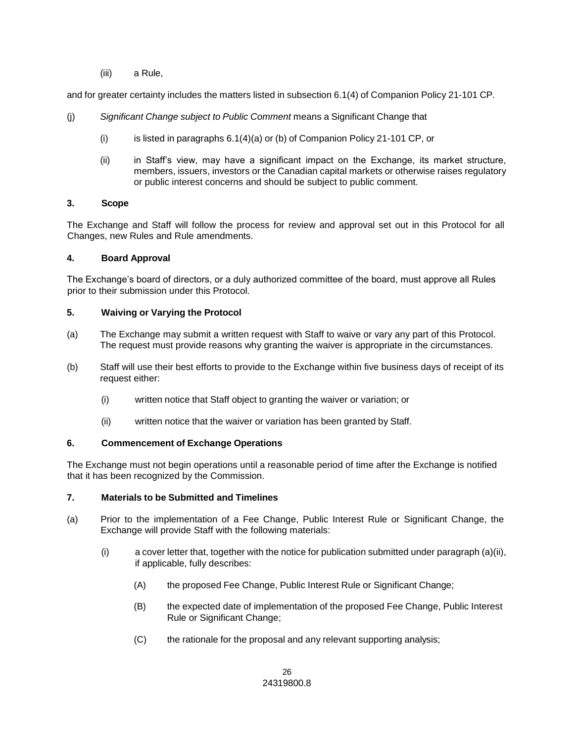(iii) a Rule,

and for greater certainty includes the matters listed in subsection 6.1(4) of Companion Policy 21-101 CP.

- (j) *Significant Change subject to Public Comment* means a Significant Change that
	- (i) is listed in paragraphs 6.1(4)(a) or (b) of Companion Policy 21-101 CP, or
	- (ii) in Staff's view, may have a significant impact on the Exchange, its market structure, members, issuers, investors or the Canadian capital markets or otherwise raises regulatory or public interest concerns and should be subject to public comment.

# **3. Scope**

The Exchange and Staff will follow the process for review and approval set out in this Protocol for all Changes, new Rules and Rule amendments.

# **4. Board Approval**

The Exchange's board of directors, or a duly authorized committee of the board, must approve all Rules prior to their submission under this Protocol.

# **5. Waiving or Varying the Protocol**

- (a) The Exchange may submit a written request with Staff to waive or vary any part of this Protocol. The request must provide reasons why granting the waiver is appropriate in the circumstances.
- (b) Staff will use their best efforts to provide to the Exchange within five business days of receipt of its request either:
	- (i) written notice that Staff object to granting the waiver or variation; or
	- (ii) written notice that the waiver or variation has been granted by Staff.

# **6. Commencement of Exchange Operations**

The Exchange must not begin operations until a reasonable period of time after the Exchange is notified that it has been recognized by the Commission.

# **7. Materials to be Submitted and Timelines**

- (a) Prior to the implementation of a Fee Change, Public Interest Rule or Significant Change, the Exchange will provide Staff with the following materials:
	- (i) a cover letter that, together with the notice for publication submitted under paragraph (a)(ii), if applicable, fully describes:
		- (A) the proposed Fee Change, Public Interest Rule or Significant Change;
		- (B) the expected date of implementation of the proposed Fee Change, Public Interest Rule or Significant Change;
		- (C) the rationale for the proposal and any relevant supporting analysis;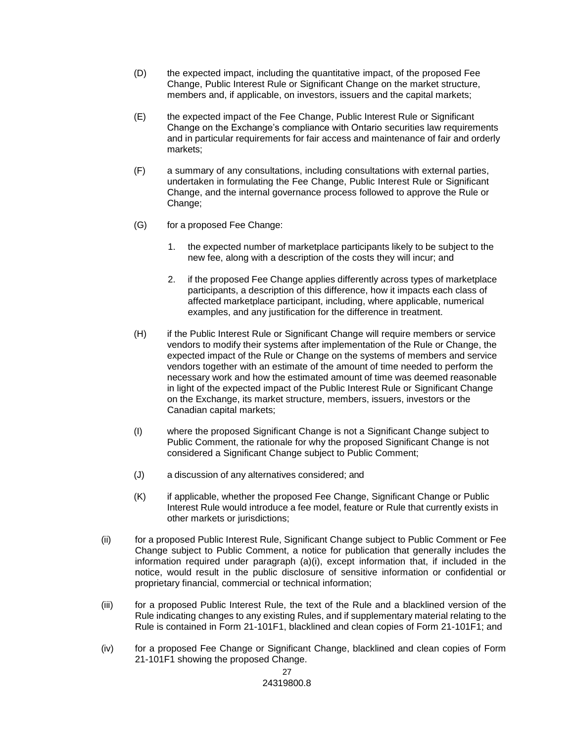- (D) the expected impact, including the quantitative impact, of the proposed Fee Change, Public Interest Rule or Significant Change on the market structure, members and, if applicable, on investors, issuers and the capital markets;
- (E) the expected impact of the Fee Change, Public Interest Rule or Significant Change on the Exchange's compliance with Ontario securities law requirements and in particular requirements for fair access and maintenance of fair and orderly markets;
- (F) a summary of any consultations, including consultations with external parties, undertaken in formulating the Fee Change, Public Interest Rule or Significant Change, and the internal governance process followed to approve the Rule or Change;
- (G) for a proposed Fee Change:
	- 1. the expected number of marketplace participants likely to be subject to the new fee, along with a description of the costs they will incur; and
	- 2. if the proposed Fee Change applies differently across types of marketplace participants, a description of this difference, how it impacts each class of affected marketplace participant, including, where applicable, numerical examples, and any justification for the difference in treatment.
- (H) if the Public Interest Rule or Significant Change will require members or service vendors to modify their systems after implementation of the Rule or Change, the expected impact of the Rule or Change on the systems of members and service vendors together with an estimate of the amount of time needed to perform the necessary work and how the estimated amount of time was deemed reasonable in light of the expected impact of the Public Interest Rule or Significant Change on the Exchange, its market structure, members, issuers, investors or the Canadian capital markets;
- (I) where the proposed Significant Change is not a Significant Change subject to Public Comment, the rationale for why the proposed Significant Change is not considered a Significant Change subject to Public Comment;
- (J) a discussion of any alternatives considered; and
- (K) if applicable, whether the proposed Fee Change, Significant Change or Public Interest Rule would introduce a fee model, feature or Rule that currently exists in other markets or jurisdictions;
- (ii) for a proposed Public Interest Rule, Significant Change subject to Public Comment or Fee Change subject to Public Comment, a notice for publication that generally includes the information required under paragraph (a)(i), except information that, if included in the notice, would result in the public disclosure of sensitive information or confidential or proprietary financial, commercial or technical information;
- (iii) for a proposed Public Interest Rule, the text of the Rule and a blacklined version of the Rule indicating changes to any existing Rules, and if supplementary material relating to the Rule is contained in Form 21-101F1, blacklined and clean copies of Form 21-101F1; and
- (iv) for a proposed Fee Change or Significant Change, blacklined and clean copies of Form 21-101F1 showing the proposed Change.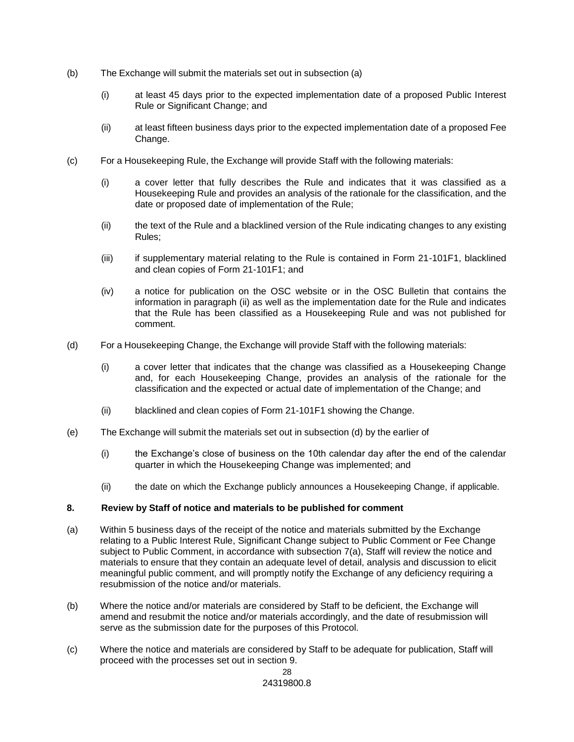- (b) The Exchange will submit the materials set out in subsection (a)
	- (i) at least 45 days prior to the expected implementation date of a proposed Public Interest Rule or Significant Change; and
	- (ii) at least fifteen business days prior to the expected implementation date of a proposed Fee Change.
- (c) For a Housekeeping Rule, the Exchange will provide Staff with the following materials:
	- (i) a cover letter that fully describes the Rule and indicates that it was classified as a Housekeeping Rule and provides an analysis of the rationale for the classification, and the date or proposed date of implementation of the Rule;
	- (ii) the text of the Rule and a blacklined version of the Rule indicating changes to any existing Rules;
	- (iii) if supplementary material relating to the Rule is contained in Form 21-101F1, blacklined and clean copies of Form 21-101F1; and
	- (iv) a notice for publication on the OSC website or in the OSC Bulletin that contains the information in paragraph (ii) as well as the implementation date for the Rule and indicates that the Rule has been classified as a Housekeeping Rule and was not published for comment.
- (d) For a Housekeeping Change, the Exchange will provide Staff with the following materials:
	- (i) a cover letter that indicates that the change was classified as a Housekeeping Change and, for each Housekeeping Change, provides an analysis of the rationale for the classification and the expected or actual date of implementation of the Change; and
	- (ii) blacklined and clean copies of Form 21-101F1 showing the Change.
- (e) The Exchange will submit the materials set out in subsection (d) by the earlier of
	- (i) the Exchange's close of business on the 10th calendar day after the end of the calendar quarter in which the Housekeeping Change was implemented; and
	- (ii) the date on which the Exchange publicly announces a Housekeeping Change, if applicable.

# **8. Review by Staff of notice and materials to be published for comment**

- (a) Within 5 business days of the receipt of the notice and materials submitted by the Exchange relating to a Public Interest Rule, Significant Change subject to Public Comment or Fee Change subject to Public Comment, in accordance with subsection 7(a), Staff will review the notice and materials to ensure that they contain an adequate level of detail, analysis and discussion to elicit meaningful public comment, and will promptly notify the Exchange of any deficiency requiring a resubmission of the notice and/or materials.
- (b) Where the notice and/or materials are considered by Staff to be deficient, the Exchange will amend and resubmit the notice and/or materials accordingly, and the date of resubmission will serve as the submission date for the purposes of this Protocol.
- (c) Where the notice and materials are considered by Staff to be adequate for publication, Staff will proceed with the processes set out in section 9.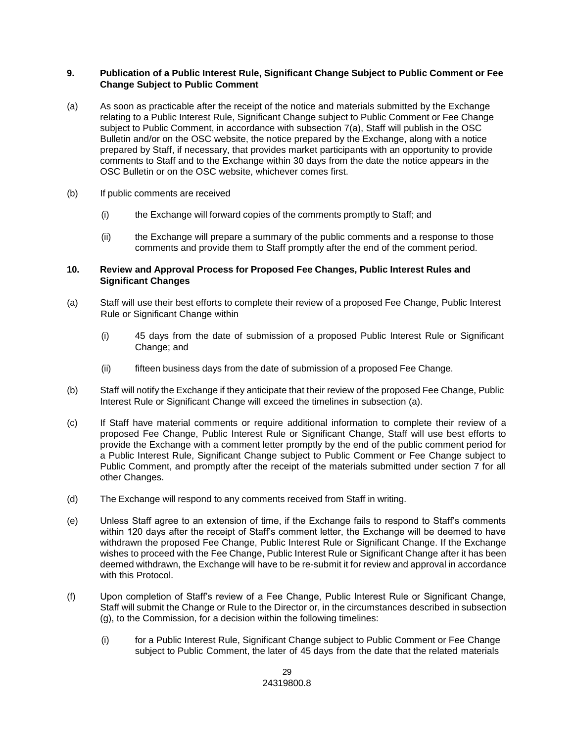## **9. Publication of a Public Interest Rule, Significant Change Subject to Public Comment or Fee Change Subject to Public Comment**

- (a) As soon as practicable after the receipt of the notice and materials submitted by the Exchange relating to a Public Interest Rule, Significant Change subject to Public Comment or Fee Change subject to Public Comment, in accordance with subsection 7(a), Staff will publish in the OSC Bulletin and/or on the OSC website, the notice prepared by the Exchange, along with a notice prepared by Staff, if necessary, that provides market participants with an opportunity to provide comments to Staff and to the Exchange within 30 days from the date the notice appears in the OSC Bulletin or on the OSC website, whichever comes first.
- (b) If public comments are received
	- (i) the Exchange will forward copies of the comments promptly to Staff; and
	- (ii) the Exchange will prepare a summary of the public comments and a response to those comments and provide them to Staff promptly after the end of the comment period.

## **10. Review and Approval Process for Proposed Fee Changes, Public Interest Rules and Significant Changes**

- (a) Staff will use their best efforts to complete their review of a proposed Fee Change, Public Interest Rule or Significant Change within
	- (i) 45 days from the date of submission of a proposed Public Interest Rule or Significant Change; and
	- (ii) fifteen business days from the date of submission of a proposed Fee Change.
- (b) Staff will notify the Exchange if they anticipate that their review of the proposed Fee Change, Public Interest Rule or Significant Change will exceed the timelines in subsection (a).
- (c) If Staff have material comments or require additional information to complete their review of a proposed Fee Change, Public Interest Rule or Significant Change, Staff will use best efforts to provide the Exchange with a comment letter promptly by the end of the public comment period for a Public Interest Rule, Significant Change subject to Public Comment or Fee Change subject to Public Comment, and promptly after the receipt of the materials submitted under section 7 for all other Changes.
- (d) The Exchange will respond to any comments received from Staff in writing.
- (e) Unless Staff agree to an extension of time, if the Exchange fails to respond to Staff's comments within 120 days after the receipt of Staff's comment letter, the Exchange will be deemed to have withdrawn the proposed Fee Change, Public Interest Rule or Significant Change. If the Exchange wishes to proceed with the Fee Change, Public Interest Rule or Significant Change after it has been deemed withdrawn, the Exchange will have to be re-submit it for review and approval in accordance with this Protocol.
- (f) Upon completion of Staff's review of a Fee Change, Public Interest Rule or Significant Change, Staff will submit the Change or Rule to the Director or, in the circumstances described in subsection (g), to the Commission, for a decision within the following timelines:
	- (i) for a Public Interest Rule, Significant Change subject to Public Comment or Fee Change subject to Public Comment, the later of 45 days from the date that the related materials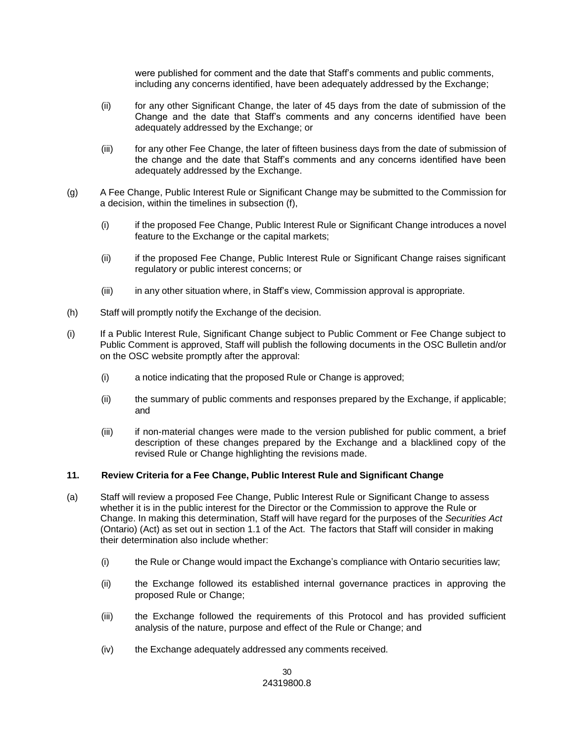were published for comment and the date that Staff's comments and public comments, including any concerns identified, have been adequately addressed by the Exchange;

- (ii) for any other Significant Change, the later of 45 days from the date of submission of the Change and the date that Staff's comments and any concerns identified have been adequately addressed by the Exchange; or
- (iii) for any other Fee Change, the later of fifteen business days from the date of submission of the change and the date that Staff's comments and any concerns identified have been adequately addressed by the Exchange.
- (g) A Fee Change, Public Interest Rule or Significant Change may be submitted to the Commission for a decision, within the timelines in subsection (f),
	- (i) if the proposed Fee Change, Public Interest Rule or Significant Change introduces a novel feature to the Exchange or the capital markets;
	- (ii) if the proposed Fee Change, Public Interest Rule or Significant Change raises significant regulatory or public interest concerns; or
	- (iii) in any other situation where, in Staff's view, Commission approval is appropriate.
- (h) Staff will promptly notify the Exchange of the decision.
- (i) If a Public Interest Rule, Significant Change subject to Public Comment or Fee Change subject to Public Comment is approved, Staff will publish the following documents in the OSC Bulletin and/or on the OSC website promptly after the approval:
	- (i) a notice indicating that the proposed Rule or Change is approved;
	- (ii) the summary of public comments and responses prepared by the Exchange, if applicable; and
	- (iii) if non-material changes were made to the version published for public comment, a brief description of these changes prepared by the Exchange and a blacklined copy of the revised Rule or Change highlighting the revisions made.

#### **11. Review Criteria for a Fee Change, Public Interest Rule and Significant Change**

- (a) Staff will review a proposed Fee Change, Public Interest Rule or Significant Change to assess whether it is in the public interest for the Director or the Commission to approve the Rule or Change. In making this determination, Staff will have regard for the purposes of the *Securities Act*  (Ontario) (Act) as set out in section 1.1 of the Act. The factors that Staff will consider in making their determination also include whether:
	- (i) the Rule or Change would impact the Exchange's compliance with Ontario securities law;
	- (ii) the Exchange followed its established internal governance practices in approving the proposed Rule or Change;
	- (iii) the Exchange followed the requirements of this Protocol and has provided sufficient analysis of the nature, purpose and effect of the Rule or Change; and
	- (iv) the Exchange adequately addressed any comments received.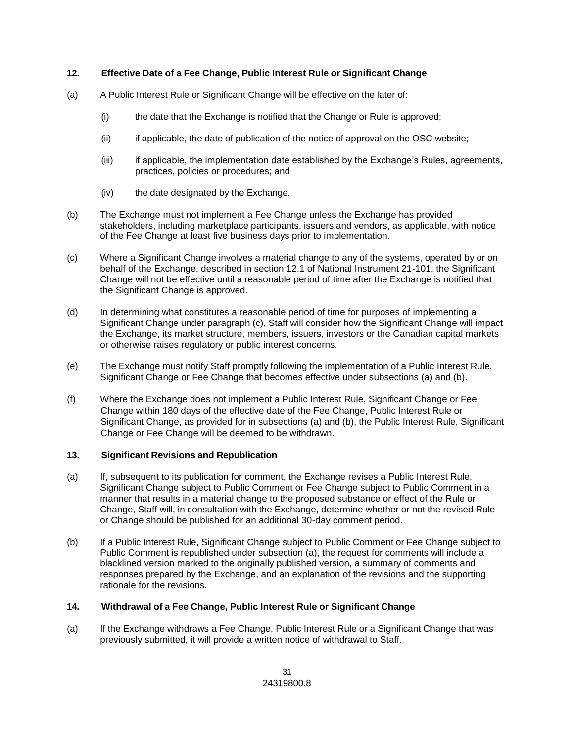# **12. Effective Date of a Fee Change, Public Interest Rule or Significant Change**

- (a) A Public Interest Rule or Significant Change will be effective on the later of:
	- (i) the date that the Exchange is notified that the Change or Rule is approved;
	- (ii) if applicable, the date of publication of the notice of approval on the OSC website;
	- (iii) if applicable, the implementation date established by the Exchange's Rules, agreements, practices, policies or procedures; and
	- (iv) the date designated by the Exchange.
- (b) The Exchange must not implement a Fee Change unless the Exchange has provided stakeholders, including marketplace participants, issuers and vendors, as applicable, with notice of the Fee Change at least five business days prior to implementation.
- (c) Where a Significant Change involves a material change to any of the systems, operated by or on behalf of the Exchange, described in section 12.1 of National Instrument 21-101, the Significant Change will not be effective until a reasonable period of time after the Exchange is notified that the Significant Change is approved.
- (d) In determining what constitutes a reasonable period of time for purposes of implementing a Significant Change under paragraph (c), Staff will consider how the Significant Change will impact the Exchange, its market structure, members, issuers, investors or the Canadian capital markets or otherwise raises regulatory or public interest concerns.
- (e) The Exchange must notify Staff promptly following the implementation of a Public Interest Rule, Significant Change or Fee Change that becomes effective under subsections (a) and (b).
- (f) Where the Exchange does not implement a Public Interest Rule, Significant Change or Fee Change within 180 days of the effective date of the Fee Change, Public Interest Rule or Significant Change, as provided for in subsections (a) and (b), the Public Interest Rule, Significant Change or Fee Change will be deemed to be withdrawn.

# **13. Significant Revisions and Republication**

- (a) If, subsequent to its publication for comment, the Exchange revises a Public Interest Rule, Significant Change subject to Public Comment or Fee Change subject to Public Comment in a manner that results in a material change to the proposed substance or effect of the Rule or Change, Staff will, in consultation with the Exchange, determine whether or not the revised Rule or Change should be published for an additional 30-day comment period.
- (b) If a Public Interest Rule, Significant Change subject to Public Comment or Fee Change subject to Public Comment is republished under subsection (a), the request for comments will include a blacklined version marked to the originally published version, a summary of comments and responses prepared by the Exchange, and an explanation of the revisions and the supporting rationale for the revisions.

# **14. Withdrawal of a Fee Change, Public Interest Rule or Significant Change**

(a) If the Exchange withdraws a Fee Change, Public Interest Rule or a Significant Change that was previously submitted, it will provide a written notice of withdrawal to Staff.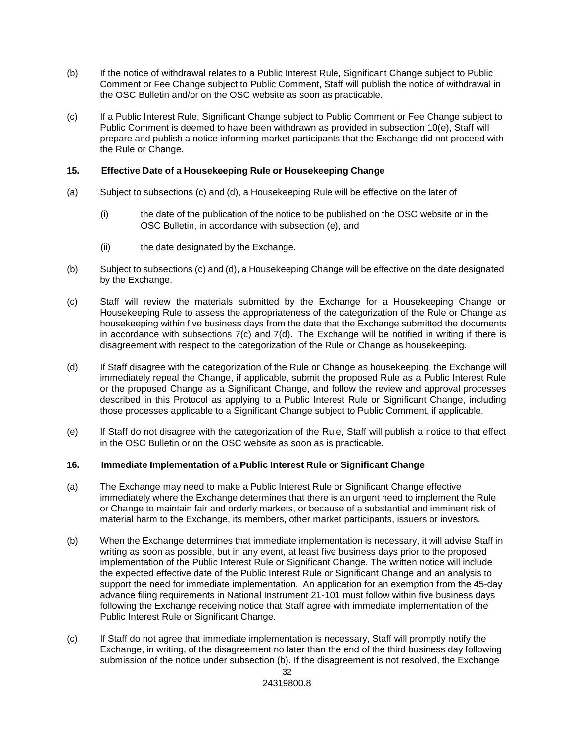- (b) If the notice of withdrawal relates to a Public Interest Rule, Significant Change subject to Public Comment or Fee Change subject to Public Comment, Staff will publish the notice of withdrawal in the OSC Bulletin and/or on the OSC website as soon as practicable.
- (c) If a Public Interest Rule, Significant Change subject to Public Comment or Fee Change subject to Public Comment is deemed to have been withdrawn as provided in subsection 10(e), Staff will prepare and publish a notice informing market participants that the Exchange did not proceed with the Rule or Change.

# **15. Effective Date of a Housekeeping Rule or Housekeeping Change**

- (a) Subject to subsections (c) and (d), a Housekeeping Rule will be effective on the later of
	- (i) the date of the publication of the notice to be published on the OSC website or in the OSC Bulletin, in accordance with subsection (e), and
	- (ii) the date designated by the Exchange.
- (b) Subject to subsections (c) and (d), a Housekeeping Change will be effective on the date designated by the Exchange.
- (c) Staff will review the materials submitted by the Exchange for a Housekeeping Change or Housekeeping Rule to assess the appropriateness of the categorization of the Rule or Change as housekeeping within five business days from the date that the Exchange submitted the documents in accordance with subsections 7(c) and 7(d). The Exchange will be notified in writing if there is disagreement with respect to the categorization of the Rule or Change as housekeeping.
- (d) If Staff disagree with the categorization of the Rule or Change as housekeeping, the Exchange will immediately repeal the Change, if applicable, submit the proposed Rule as a Public Interest Rule or the proposed Change as a Significant Change, and follow the review and approval processes described in this Protocol as applying to a Public Interest Rule or Significant Change, including those processes applicable to a Significant Change subject to Public Comment, if applicable.
- (e) If Staff do not disagree with the categorization of the Rule, Staff will publish a notice to that effect in the OSC Bulletin or on the OSC website as soon as is practicable.

#### **16. Immediate Implementation of a Public Interest Rule or Significant Change**

- (a) The Exchange may need to make a Public Interest Rule or Significant Change effective immediately where the Exchange determines that there is an urgent need to implement the Rule or Change to maintain fair and orderly markets, or because of a substantial and imminent risk of material harm to the Exchange, its members, other market participants, issuers or investors.
- (b) When the Exchange determines that immediate implementation is necessary, it will advise Staff in writing as soon as possible, but in any event, at least five business days prior to the proposed implementation of the Public Interest Rule or Significant Change. The written notice will include the expected effective date of the Public Interest Rule or Significant Change and an analysis to support the need for immediate implementation. An application for an exemption from the 45-day advance filing requirements in National Instrument 21-101 must follow within five business days following the Exchange receiving notice that Staff agree with immediate implementation of the Public Interest Rule or Significant Change.
- 32 (c) If Staff do not agree that immediate implementation is necessary, Staff will promptly notify the Exchange, in writing, of the disagreement no later than the end of the third business day following submission of the notice under subsection (b). If the disagreement is not resolved, the Exchange